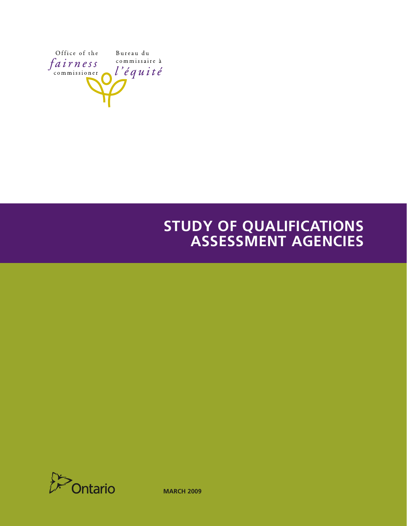

# **STUDY OF QUALIFICATIONS ASSESSMENT AGENCIES**



**MARCH 2009**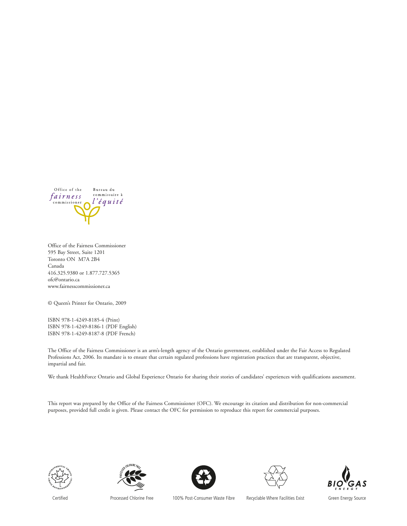

Office of the Fairness Commissioner 595 Bay Street, Suite 1201 Toronto ON M7A 2B4 Canada 416.325.9380 or 1.877.727.5365 ofc@ontario.ca www.fairnesscommissioner.ca

© Queen's Printer for Ontario, 2009

ISBN 978-1-4249-8185-4 (Print) ISBN 978-1-4249-8186-1 (PDF English) ISBN 978-1-4249-8187-8 (PDF French)

The Office of the Fairness Commissioner is an arm's-length agency of the Ontario government, established under the Fair Access to Regulated Professions Act, 2006. Its mandate is to ensure that certain regulated professions have registration practices that are transparent, objective, impartial and fair.

We thank HealthForce Ontario and Global Experience Ontario for sharing their stories of candidates' experiences with qualifications assessment.

This report was prepared by the Office of the Fairness Commissioner (OFC). We encourage its citation and distribution for non-commercial purposes, provided full credit is given. Please contact the OFC for permission to reproduce this report for commercial purposes.











Certified Processed Chlorine Free 100% Post-Consumer Waste Fibre Recyclable Where Facilities Exist Green Energy Source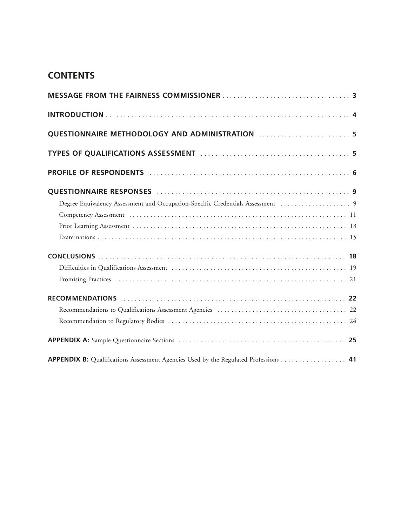# **CONTENTS**

| QUESTIONNAIRE METHODOLOGY AND ADMINISTRATION  5                                      |
|--------------------------------------------------------------------------------------|
|                                                                                      |
|                                                                                      |
|                                                                                      |
|                                                                                      |
|                                                                                      |
|                                                                                      |
|                                                                                      |
|                                                                                      |
|                                                                                      |
|                                                                                      |
|                                                                                      |
|                                                                                      |
|                                                                                      |
|                                                                                      |
| APPENDIX B: Qualifications Assessment Agencies Used by the Regulated Professions  41 |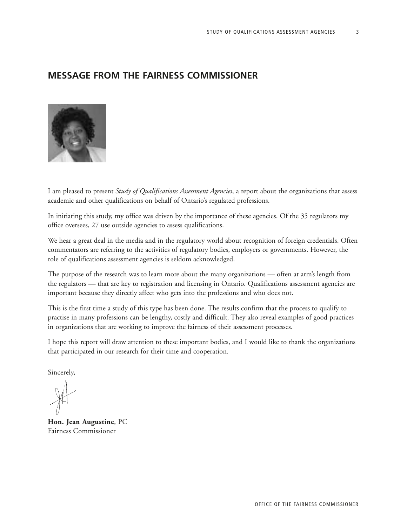3

# **MESSAGE FROM THE FAIRNESS COMMISSIONER**



I am pleased to present *Study of Qualifications Assessment Agencies*, a report about the organizations that assess academic and other qualifications on behalf of Ontario's regulated professions.

In initiating this study, my office was driven by the importance of these agencies. Of the 35 regulators my office oversees, 27 use outside agencies to assess qualifications.

We hear a great deal in the media and in the regulatory world about recognition of foreign credentials. Often commentators are referring to the activities of regulatory bodies, employers or governments. However, the role of qualifications assessment agencies is seldom acknowledged.

The purpose of the research was to learn more about the many organizations — often at arm's length from the regulators — that are key to registration and licensing in Ontario. Qualifications assessment agencies are important because they directly affect who gets into the professions and who does not.

This is the first time a study of this type has been done. The results confirm that the process to qualify to practise in many professions can be lengthy, costly and difficult. They also reveal examples of good practices in organizations that are working to improve the fairness of their assessment processes.

I hope this report will draw attention to these important bodies, and I would like to thank the organizations that participated in our research for their time and cooperation.

Sincerely,

**Hon. Jean Augustine**, PC Fairness Commissioner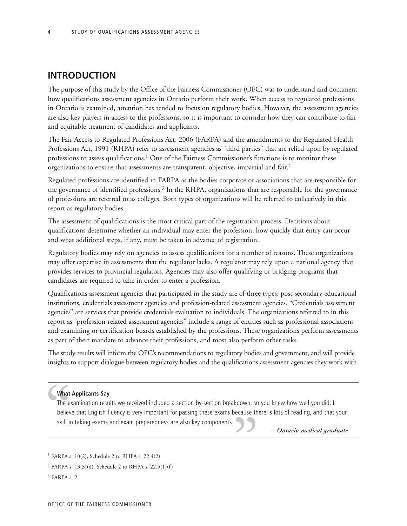# **INTRODUCTION**

The purpose of this study by the Office of the Fairness Commissioner (OFC) was to understand and document how qualifications assessment agencies in Ontario perform their work. When access to regulated professions in Ontario is examined, attention has tended to focus on regulatory bodies. However, the assessment agencies are also key players in access to the professions, so it is important to consider how they can contribute to fair and equitable treatment of candidates and applicants.

The Fair Access to Regulated Professions Act, 2006 (FARPA) and the amendments to the Regulated Health Professions Act, 1991 (RHPA) refer to assessment agencies as "third parties" that are relied upon by regulated professions to assess qualifications.<sup>1</sup> One of the Fairness Commissioner's functions is to monitor these organizations to ensure that assessments are transparent, objective, impartial and fair.2

Regulated professions are identified in FARPA as the bodies corporate or associations that are responsible for the governance of identified professions.<sup>3</sup> In the RHPA, organizations that are responsible for the governance of professions are referred to as colleges. Both types of organizations will be referred to collectively in this report as regulatory bodies.

The assessment of qualifications is the most critical part of the registration process. Decisions about qualifications determine whether an individual may enter the profession, how quickly that entry can occur and what additional steps, if any, must be taken in advance of registration.

Regulatory bodies may rely on agencies to assess qualifications for a number of reasons. These organizations may offer expertise in assessments that the regulator lacks. A regulator may rely upon a national agency that provides services to provincial regulators. Agencies may also offer qualifying or bridging programs that candidates are required to take in order to enter a profession.

Qualifications assessment agencies that participated in the study are of three types: post-secondary educational institutions, credentials assessment agencies and profession-related assessment agencies. "Credentials assessment agencies" are services that provide credentials evaluation to individuals. The organizations referred to in this report as "profession-related assessment agencies" include a range of entities such as professional associations and examining or certification boards established by the professions. These organizations perform assessments as part of their mandate to advance their professions, and most also perform other tasks.

The study results will inform the OFC's recommendations to regulatory bodies and government, and will provide insights to support dialogue between regulatory bodies and the qualifications assessment agencies they work with.

### **What Applicants Say**

What<br>The experience<br>believ<br>skill in The examination results we received included a section-by-section breakdown, so you knew how well you did. I believe that English fluency is very important for passing these exams because there is lots of reading, and that your skill in taking exams and exam preparedness are also key components.  $\overline{\mathbf{y}}$ 

*– Ontario medical graduate*

<sup>1</sup> FARPA s. 10(2), Schedule 2 to RHPA s. 22.4(2)

<sup>&</sup>lt;sup>2</sup> FARPA s. 13(3)(d), Schedule 2 to RHPA s. 22.5(1)(f)

 $<sup>3</sup>$  FARPA s. 2</sup>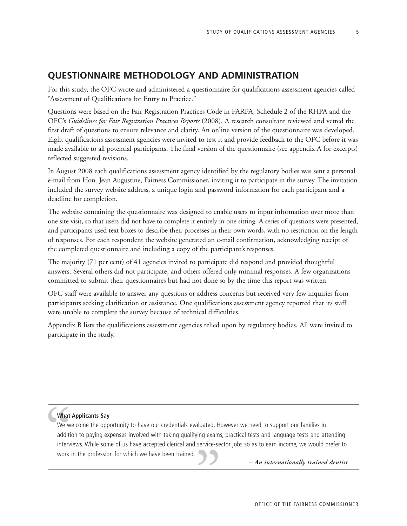5

# **QUESTIONNAIRE METHODOLOGY AND ADMINISTRATION**

For this study, the OFC wrote and administered a questionnaire for qualifications assessment agencies called "Assessment of Qualifications for Entry to Practice."

Questions were based on the Fair Registration Practices Code in FARPA, Schedule 2 of the RHPA and the OFC's *Guidelines for Fair Registration Practices Reports* (2008). A research consultant reviewed and vetted the first draft of questions to ensure relevance and clarity. An online version of the questionnaire was developed. Eight qualifications assessment agencies were invited to test it and provide feedback to the OFC before it was made available to all potential participants. The final version of the questionnaire (see appendix A for excerpts) reflected suggested revisions.

In August 2008 each qualifications assessment agency identified by the regulatory bodies was sent a personal e-mail from Hon. Jean Augustine, Fairness Commissioner, inviting it to participate in the survey. The invitation included the survey website address, a unique login and password information for each participant and a deadline for completion.

The website containing the questionnaire was designed to enable users to input information over more than one site visit, so that users did not have to complete it entirely in one sitting. A series of questions were presented, and participants used text boxes to describe their processes in their own words, with no restriction on the length of responses. For each respondent the website generated an e-mail confirmation, acknowledging receipt of the completed questionnaire and including a copy of the participant's responses.

The majority (71 per cent) of 41 agencies invited to participate did respond and provided thoughtful answers. Several others did not participate, and others offered only minimal responses. A few organizations committed to submit their questionnaires but had not done so by the time this report was written.

OFC staff were available to answer any questions or address concerns but received very few inquiries from participants seeking clarification or assistance. One qualifications assessment agency reported that its staff were unable to complete the survey because of technical difficulties.

Appendix B lists the qualifications assessment agencies relied upon by regulatory bodies. All were invited to participate in the study.

# **What Applicants Say**

" We welcome the opportunity to have our credentials evaluated. However we need to support our families in addition to paying expenses involved with taking qualifying exams, practical tests and language tests and attending interviews. While some of us have accepted clerical and service-sector jobs so as to earn income, we would prefer to work in the profession for which we have been trained. *– An internationally trained dentist*<br>OFFICE OF THE FAIRNESS COMMISSIO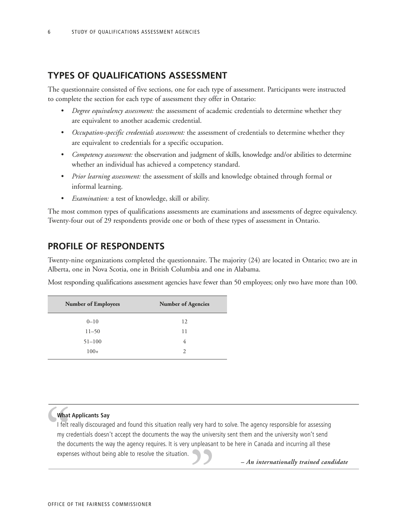# **TYPES OF QUALIFICATIONS ASSESSMENT**

The questionnaire consisted of five sections, one for each type of assessment. Participants were instructed to complete the section for each type of assessment they offer in Ontario:

- *Degree equivalency assessment:* the assessment of academic credentials to determine whether they are equivalent to another academic credential.
- *Occupation-specific credentials assessment:* the assessment of credentials to determine whether they are equivalent to credentials for a specific occupation.
- *Competency assessment:* the observation and judgment of skills, knowledge and/or abilities to determine whether an individual has achieved a competency standard.
- *Prior learning assessment:* the assessment of skills and knowledge obtained through formal or informal learning.
- *Examination:* a test of knowledge, skill or ability.

The most common types of qualifications assessments are examinations and assessments of degree equivalency. Twenty-four out of 29 respondents provide one or both of these types of assessment in Ontario.

# **PROFILE OF RESPONDENTS**

Twenty-nine organizations completed the questionnaire. The majority (24) are located in Ontario; two are in Alberta, one in Nova Scotia, one in British Columbia and one in Alabama.

Most responding qualifications assessment agencies have fewer than 50 employees; only two have more than 100.

| <b>Number of Employees</b> | <b>Number of Agencies</b> |
|----------------------------|---------------------------|
| $0 - 10$                   | 12                        |
| $11 - 50$                  | 11                        |
| $51 - 100$                 | 4                         |
| $100+$                     | $\mathcal{D}_{\cdot}$     |
|                            |                           |

#### **What Applicants Say**

What<br>
I felt I<br>
my cru<br>
the dd<br>
expen I felt really discouraged and found this situation really very hard to solve. The agency responsible for assessing my credentials doesn't accept the documents the way the university sent them and the university won't send the documents the way the agency requires. It is very unpleasant to be here in Canada and incurring all these expenses without being able to resolve the situation. *– An internationally trained candidate* "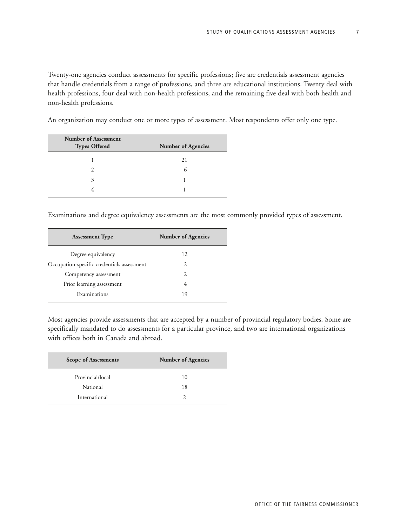Twenty-one agencies conduct assessments for specific professions; five are credentials assessment agencies that handle credentials from a range of professions, and three are educational institutions. Twenty deal with health professions, four deal with non-health professions, and the remaining five deal with both health and non-health professions.

An organization may conduct one or more types of assessment. Most respondents offer only one type.

| <b>Number of Assessment</b><br><b>Types Offered</b> | <b>Number of Agencies</b> |
|-----------------------------------------------------|---------------------------|
|                                                     | 21                        |
| $\mathcal{P}$                                       | $\mathfrak{h}$            |
| 3                                                   |                           |
|                                                     |                           |

Examinations and degree equivalency assessments are the most commonly provided types of assessment.

| <b>Assessment Type</b>                     | <b>Number of Agencies</b> |
|--------------------------------------------|---------------------------|
| Degree equivalency                         | 12                        |
| Occupation-specific credentials assessment | 2                         |
| Competency assessment                      | $\mathcal{L}$             |
| Prior learning assessment                  | 4                         |
| Examinations                               | 19                        |
|                                            |                           |

Most agencies provide assessments that are accepted by a number of provincial regulatory bodies. Some are specifically mandated to do assessments for a particular province, and two are international organizations with offices both in Canada and abroad.

| <b>Scope of Assessments</b> | <b>Number of Agencies</b> |
|-----------------------------|---------------------------|
| Provincial/local            | 10                        |
| National                    | 18                        |
| International               |                           |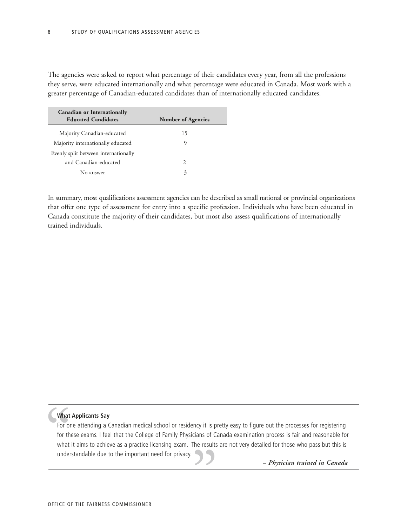The agencies were asked to report what percentage of their candidates every year, from all the professions they serve, were educated internationally and what percentage were educated in Canada. Most work with a greater percentage of Canadian-educated candidates than of internationally educated candidates.

| <b>Number of Agencies</b> |
|---------------------------|
| 15                        |
| 9                         |
|                           |
| $\mathcal{P}$             |
| 3                         |
|                           |

In summary, most qualifications assessment agencies can be described as small national or provincial organizations that offer one type of assessment for entry into a specific profession. Individuals who have been educated in Canada constitute the majority of their candidates, but most also assess qualifications of internationally trained individuals.

# **What Applicants Say**

What<br>
For or<br>
for th<br>
what<br>
under For one attending a Canadian medical school or residency it is pretty easy to figure out the processes for registering for these exams. I feel that the College of Family Physicians of Canada examination process is fair and reasonable for what it aims to achieve as a practice licensing exam. The results are not very detailed for those who pass but this is understandable due to the important need for privacy. *– Physician trained in Canada* "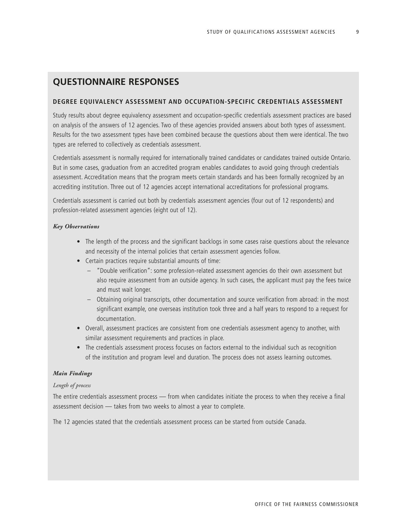9

# **QUESTIONNAIRE RESPONSES**

# **DEGREE EQUIVALENCY ASSESSMENT AND OCCUPATION-SPECIFIC CREDENTIALS ASSESSMENT**

Study results about degree equivalency assessment and occupation-specific credentials assessment practices are based on analysis of the answers of 12 agencies. Two of these agencies provided answers about both types of assessment. Results for the two assessment types have been combined because the questions about them were identical. The two types are referred to collectively as credentials assessment.

Credentials assessment is normally required for internationally trained candidates or candidates trained outside Ontario. But in some cases, graduation from an accredited program enables candidates to avoid going through credentials assessment. Accreditation means that the program meets certain standards and has been formally recognized by an accrediting institution. Three out of 12 agencies accept international accreditations for professional programs.

Credentials assessment is carried out both by credentials assessment agencies (four out of 12 respondents) and profession-related assessment agencies (eight out of 12).

#### *Key Observations*

- The length of the process and the significant backlogs in some cases raise questions about the relevance and necessity of the internal policies that certain assessment agencies follow.
- Certain practices require substantial amounts of time:
	- "Double verification": some profession-related assessment agencies do their own assessment but also require assessment from an outside agency. In such cases, the applicant must pay the fees twice and must wait longer.
	- Obtaining original transcripts, other documentation and source verification from abroad: in the most significant example, one overseas institution took three and a half years to respond to a request for documentation.
- Overall, assessment practices are consistent from one credentials assessment agency to another, with similar assessment requirements and practices in place.
- The credentials assessment process focuses on factors external to the individual such as recognition of the institution and program level and duration. The process does not assess learning outcomes.

#### *Main Findings*

#### *Length of process*

The entire credentials assessment process — from when candidates initiate the process to when they receive a final assessment decision — takes from two weeks to almost a year to complete.

The 12 agencies stated that the credentials assessment process can be started from outside Canada.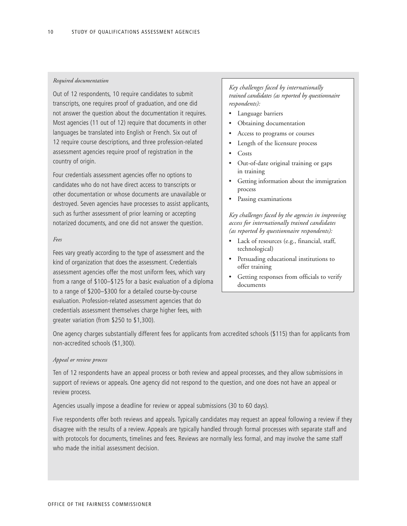### *Required documentation*

Out of 12 respondents, 10 require candidates to submit transcripts, one requires proof of graduation, and one did not answer the question about the documentation it requires. Most agencies (11 out of 12) require that documents in other languages be translated into English or French. Six out of 12 require course descriptions, and three profession-related assessment agencies require proof of registration in the country of origin.

Four credentials assessment agencies offer no options to candidates who do not have direct access to transcripts or other documentation or whose documents are unavailable or destroyed. Seven agencies have processes to assist applicants, such as further assessment of prior learning or accepting notarized documents, and one did not answer the question.

## *Fees*

Fees vary greatly according to the type of assessment and the kind of organization that does the assessment. Credentials assessment agencies offer the most uniform fees, which vary from a range of \$100–\$125 for a basic evaluation of a diploma to a range of \$200–\$300 for a detailed course-by-course evaluation. Profession-related assessment agencies that do credentials assessment themselves charge higher fees, with greater variation (from \$250 to \$1,300).

# *Key challenges faced by internationally trained candidates (as reported by questionnaire respondents):*

- Language barriers
- Obtaining documentation
- Access to programs or courses
- Length of the licensure process
- Costs
- Out-of-date original training or gaps in training
- Getting information about the immigration process
- Passing examinations

*Key challenges faced by the agencies in improving access for internationally trained candidates (as reported by questionnaire respondents):*

- Lack of resources (e.g., financial, staff, technological)
- Persuading educational institutions to offer training
- Getting responses from officials to verify documents

One agency charges substantially different fees for applicants from accredited schools (\$115) than for applicants from non-accredited schools (\$1,300).

#### *Appeal or review process*

Ten of 12 respondents have an appeal process or both review and appeal processes, and they allow submissions in support of reviews or appeals. One agency did not respond to the question, and one does not have an appeal or review process.

Agencies usually impose a deadline for review or appeal submissions (30 to 60 days).

Five respondents offer both reviews and appeals. Typically candidates may request an appeal following a review if they disagree with the results of a review. Appeals are typically handled through formal processes with separate staff and with protocols for documents, timelines and fees. Reviews are normally less formal, and may involve the same staff who made the initial assessment decision.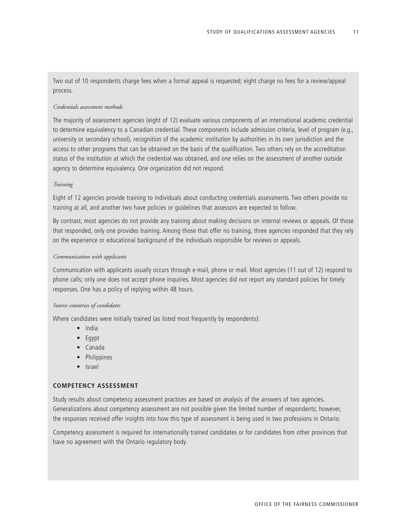Two out of 10 respondents charge fees when a formal appeal is requested; eight charge no fees for a review/appeal process.

#### *Credentials assessment methods*

The majority of assessment agencies (eight of 12) evaluate various components of an international academic credential to determine equivalency to a Canadian credential. These components include admission criteria, level of program (e.g., university or secondary school), recognition of the academic institution by authorities in its own jurisdiction and the access to other programs that can be obtained on the basis of the qualification. Two others rely on the accreditation status of the institution at which the credential was obtained, and one relies on the assessment of another outside agency to determine equivalency. One organization did not respond.

#### *Training*

Eight of 12 agencies provide training to individuals about conducting credentials assessments. Two others provide no training at all, and another two have policies or guidelines that assessors are expected to follow.

By contrast, most agencies do not provide any training about making decisions on internal reviews or appeals. Of those that responded, only one provides training. Among those that offer no training, three agencies responded that they rely on the experience or educational background of the individuals responsible for reviews or appeals.

#### *Communication with applicants*

Communication with applicants usually occurs through e-mail, phone or mail. Most agencies (11 out of 12) respond to phone calls; only one does not accept phone inquiries. Most agencies did not report any standard policies for timely responses. One has a policy of replying within 48 hours.

#### *Source countries of candidates*

Where candidates were initially trained (as listed most frequently by respondents):

- India
- Egypt
- Canada
- Philippines
- Israel

# **COMPETENCY ASSESSMENT**

Study results about competency assessment practices are based on analysis of the answers of two agencies. Generalizations about competency assessment are not possible given the limited number of respondents; however, the responses received offer insights into how this type of assessment is being used in two professions in Ontario.

Competency assessment is required for internationally trained candidates or for candidates from other provinces that have no agreement with the Ontario regulatory body.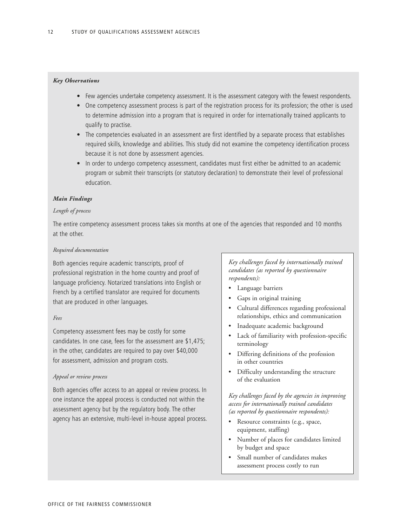### *Key Observations*

- Few agencies undertake competency assessment. It is the assessment category with the fewest respondents.
- One competency assessment process is part of the registration process for its profession; the other is used to determine admission into a program that is required in order for internationally trained applicants to qualify to practise.
- The competencies evaluated in an assessment are first identified by a separate process that establishes required skills, knowledge and abilities. This study did not examine the competency identification process because it is not done by assessment agencies.
- In order to undergo competency assessment, candidates must first either be admitted to an academic program or submit their transcripts (or statutory declaration) to demonstrate their level of professional education.

### *Main Findings*

#### *Length of process*

The entire competency assessment process takes six months at one of the agencies that responded and 10 months at the other.

#### *Required documentation*

Both agencies require academic transcripts, proof of professional registration in the home country and proof of language proficiency. Notarized translations into English or French by a certified translator are required for documents that are produced in other languages.

### *Fees*

Competency assessment fees may be costly for some candidates. In one case, fees for the assessment are \$1,475; in the other, candidates are required to pay over \$40,000 for assessment, admission and program costs.

#### *Appeal or review process*

Both agencies offer access to an appeal or review process. In one instance the appeal process is conducted not within the assessment agency but by the regulatory body. The other agency has an extensive, multi-level in-house appeal process.

*Key challenges faced by internationally trained candidates (as reported by questionnaire respondents):*

- Language barriers
- Gaps in original training
- Cultural differences regarding professional relationships, ethics and communication
- Inadequate academic background
- Lack of familiarity with profession-specific terminology
- Differing definitions of the profession in other countries
- Difficulty understanding the structure of the evaluation

*Key challenges faced by the agencies in improving access for internationally trained candidates (as reported by questionnaire respondents):*

- Resource constraints (e.g., space, equipment, staffing)
- Number of places for candidates limited by budget and space
- Small number of candidates makes assessment process costly to run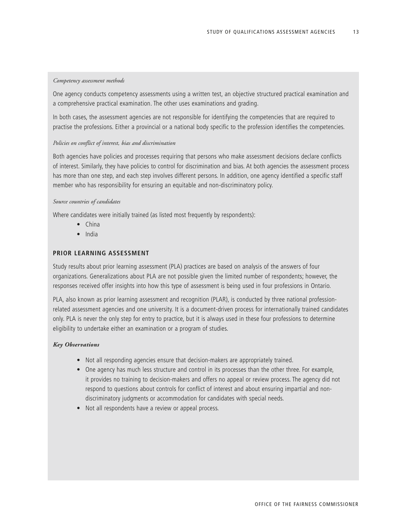# *Competency assessment methods*

One agency conducts competency assessments using a written test, an objective structured practical examination and a comprehensive practical examination. The other uses examinations and grading.

In both cases, the assessment agencies are not responsible for identifying the competencies that are required to practise the professions. Either a provincial or a national body specific to the profession identifies the competencies.

#### *Policies on conflict of interest, bias and discrimination*

Both agencies have policies and processes requiring that persons who make assessment decisions declare conflicts of interest. Similarly, they have policies to control for discrimination and bias. At both agencies the assessment process has more than one step, and each step involves different persons. In addition, one agency identified a specific staff member who has responsibility for ensuring an equitable and non-discriminatory policy.

#### *Source countries of candidates*

Where candidates were initially trained (as listed most frequently by respondents):

- China
- India

# **PRIOR LEARNING ASSESSMENT**

Study results about prior learning assessment (PLA) practices are based on analysis of the answers of four organizations. Generalizations about PLA are not possible given the limited number of respondents; however, the responses received offer insights into how this type of assessment is being used in four professions in Ontario.

PLA, also known as prior learning assessment and recognition (PLAR), is conducted by three national professionrelated assessment agencies and one university. It is a document-driven process for internationally trained candidates only. PLA is never the only step for entry to practice, but it is always used in these four professions to determine eligibility to undertake either an examination or a program of studies.

#### *Key Observations*

- Not all responding agencies ensure that decision-makers are appropriately trained.
- One agency has much less structure and control in its processes than the other three. For example, it provides no training to decision-makers and offers no appeal or review process. The agency did not respond to questions about controls for conflict of interest and about ensuring impartial and nondiscriminatory judgments or accommodation for candidates with special needs.
- Not all respondents have a review or appeal process.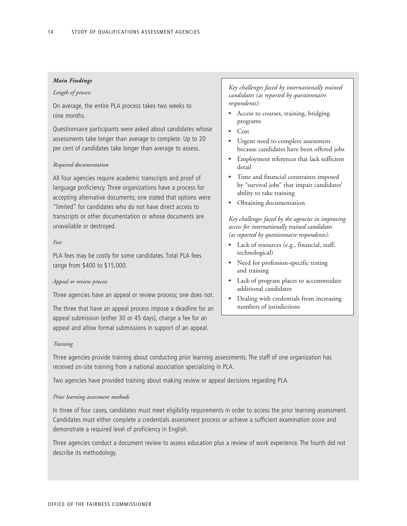### *Main Findings*

#### *Length of process*

On average, the entire PLA process takes two weeks to nine months.

Questionnaire participants were asked about candidates whose assessments take longer than average to complete. Up to 20 per cent of candidates take longer than average to assess.

#### *Required documentation*

All four agencies require academic transcripts and proof of language proficiency. Three organizations have a process for accepting alternative documents; one stated that options were "limited" for candidates who do not have direct access to transcripts or other documentation or whose documents are unavailable or destroyed.

#### *Fees*

PLA fees may be costly for some candidates. Total PLA fees range from \$400 to \$15,000.

#### *Appeal or review process*

Three agencies have an appeal or review process; one does not.

The three that have an appeal process impose a deadline for an appeal submission (either 30 or 45 days), charge a fee for an appeal and allow formal submissions in support of an appeal.

*Key challenges faced by internationally trained candidates (as reported by questionnaire respondents):*

- Access to courses, training, bridging programs
- Cost
- Urgent need to complete assessment because candidates have been offered jobs
- Employment references that lack sufficient detail
- Time and financial constraints imposed by "survival jobs" that impair candidates' ability to take training
- Obtaining documentation

*Key challenges faced by the agencies in improving access for internationally trained candidates (as reported by questionnaire respondents):*

- Lack of resources (e.g., financial, staff, technological)
- Need for profession-specific testing and training
- Lack of program places to accommodate additional candidates
- Dealing with credentials from increasing numbers of jurisdictions

#### *Training*

Three agencies provide training about conducting prior learning assessments. The staff of one organization has received on-site training from a national association specializing in PLA.

Two agencies have provided training about making review or appeal decisions regarding PLA.

#### *Prior learning assessment methods*

In three of four cases, candidates must meet eligibility requirements in order to access the prior learning assessment. Candidates must either complete a credentials assessment process or achieve a sufficient examination score and demonstrate a required level of proficiency in English.

Three agencies conduct a document review to assess education plus a review of work experience. The fourth did not describe its methodology.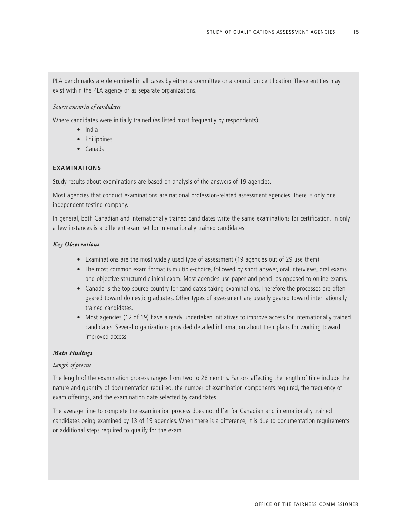PLA benchmarks are determined in all cases by either a committee or a council on certification. These entities may exist within the PLA agency or as separate organizations.

#### *Source countries of candidates*

Where candidates were initially trained (as listed most frequently by respondents):

- India
- Philippines
- Canada

# **EXAMINATIONS**

Study results about examinations are based on analysis of the answers of 19 agencies.

Most agencies that conduct examinations are national profession-related assessment agencies. There is only one independent testing company.

In general, both Canadian and internationally trained candidates write the same examinations for certification. In only a few instances is a different exam set for internationally trained candidates.

### *Key Observations*

- Examinations are the most widely used type of assessment (19 agencies out of 29 use them).
- The most common exam format is multiple-choice, followed by short answer, oral interviews, oral exams and objective structured clinical exam. Most agencies use paper and pencil as opposed to online exams.
- Canada is the top source country for candidates taking examinations. Therefore the processes are often geared toward domestic graduates. Other types of assessment are usually geared toward internationally trained candidates.
- Most agencies (12 of 19) have already undertaken initiatives to improve access for internationally trained candidates. Several organizations provided detailed information about their plans for working toward improved access.

#### *Main Findings*

### *Length of process*

The length of the examination process ranges from two to 28 months. Factors affecting the length of time include the nature and quantity of documentation required, the number of examination components required, the frequency of exam offerings, and the examination date selected by candidates.

The average time to complete the examination process does not differ for Canadian and internationally trained candidates being examined by 13 of 19 agencies. When there is a difference, it is due to documentation requirements or additional steps required to qualify for the exam.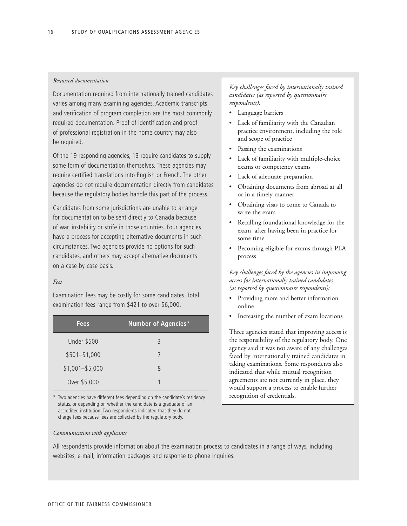### *Required documentation*

Documentation required from internationally trained candidates varies among many examining agencies. Academic transcripts and verification of program completion are the most commonly required documentation. Proof of identification and proof of professional registration in the home country may also be required.

Of the 19 responding agencies, 13 require candidates to supply some form of documentation themselves. These agencies may require certified translations into English or French. The other agencies do not require documentation directly from candidates because the regulatory bodies handle this part of the process.

Candidates from some jurisdictions are unable to arrange for documentation to be sent directly to Canada because of war, instability or strife in those countries. Four agencies have a process for accepting alternative documents in such circumstances. Two agencies provide no options for such candidates, and others may accept alternative documents on a case-by-case basis.

#### *Fees*

Examination fees may be costly for some candidates. Total examination fees range from \$421 to over \$6,000.

| <b>Fees</b>        | <b>Number of Agencies*</b> |
|--------------------|----------------------------|
| <b>Under \$500</b> | 3                          |
| $$501 - $1,000$    | 7                          |
| $$1,001 - $5,000$  | 8                          |
| Over \$5,000       | 1                          |

\* Two agencies have different fees depending on the candidate's residency status, or depending on whether the candidate is a graduate of an accredited institution. Two respondents indicated that they do not charge fees because fees are collected by the regulatory body.

# *Key challenges faced by internationally trained candidates (as reported by questionnaire respondents):*

- Language barriers
- Lack of familiarity with the Canadian practice environment, including the role and scope of practice
- Passing the examinations
- Lack of familiarity with multiple-choice exams or competency exams
- Lack of adequate preparation
- Obtaining documents from abroad at all or in a timely manner
- Obtaining visas to come to Canada to write the exam
- Recalling foundational knowledge for the exam, after having been in practice for some time
- Becoming eligible for exams through PLA process

*Key challenges faced by the agencies in improving access for internationally trained candidates (as reported by questionnaire respondents):*

- Providing more and better information online
- Increasing the number of exam locations

Three agencies stated that improving access is the responsibility of the regulatory body. One agency said it was not aware of any challenges faced by internationally trained candidates in taking examinations. Some respondents also indicated that while mutual recognition agreements are not currently in place, they would support a process to enable further recognition of credentials.

#### *Communication with applicants*

All respondents provide information about the examination process to candidates in a range of ways, including websites, e-mail, information packages and response to phone inquiries.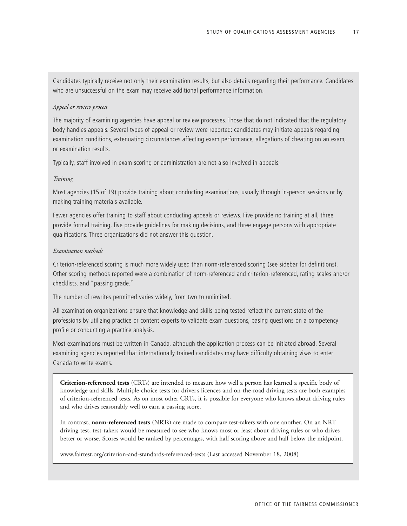Candidates typically receive not only their examination results, but also details regarding their performance. Candidates who are unsuccessful on the exam may receive additional performance information.

#### *Appeal or review process*

The majority of examining agencies have appeal or review processes. Those that do not indicated that the regulatory body handles appeals. Several types of appeal or review were reported: candidates may initiate appeals regarding examination conditions, extenuating circumstances affecting exam performance, allegations of cheating on an exam, or examination results.

Typically, staff involved in exam scoring or administration are not also involved in appeals.

#### *Training*

Most agencies (15 of 19) provide training about conducting examinations, usually through in-person sessions or by making training materials available.

Fewer agencies offer training to staff about conducting appeals or reviews. Five provide no training at all, three provide formal training, five provide guidelines for making decisions, and three engage persons with appropriate qualifications. Three organizations did not answer this question.

#### *Examination methods*

Criterion-referenced scoring is much more widely used than norm-referenced scoring (see sidebar for definitions). Other scoring methods reported were a combination of norm-referenced and criterion-referenced, rating scales and/or checklists, and "passing grade."

The number of rewrites permitted varies widely, from two to unlimited.

All examination organizations ensure that knowledge and skills being tested reflect the current state of the professions by utilizing practice or content experts to validate exam questions, basing questions on a competency profile or conducting a practice analysis.

Most examinations must be written in Canada, although the application process can be initiated abroad. Several examining agencies reported that internationally trained candidates may have difficulty obtaining visas to enter Canada to write exams.

**Criterion-referenced tests** (CRTs) are intended to measure how well a person has learned a specific body of knowledge and skills. Multiple-choice tests for driver's licences and on-the-road driving tests are both examples of criterion-referenced tests. As on most other CRTs, it is possible for everyone who knows about driving rules and who drives reasonably well to earn a passing score.

In contrast, **norm-referenced tests** (NRTs) are made to compare test-takers with one another. On an NRT driving test, test-takers would be measured to see who knows most or least about driving rules or who drives better or worse. Scores would be ranked by percentages, with half scoring above and half below the midpoint.

www.fairtest.org/criterion-and-standards-referenced-tests (Last accessed November 18, 2008)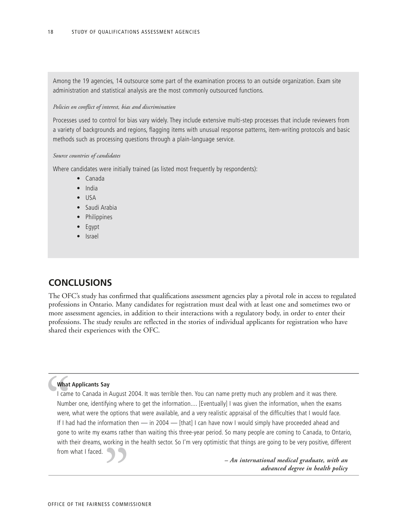Among the 19 agencies, 14 outsource some part of the examination process to an outside organization. Exam site administration and statistical analysis are the most commonly outsourced functions.

#### *Policies on conflict of interest, bias and discrimination*

Processes used to control for bias vary widely. They include extensive multi-step processes that include reviewers from a variety of backgrounds and regions, flagging items with unusual response patterns, item-writing protocols and basic methods such as processing questions through a plain-language service.

#### *Source countries of candidates*

Where candidates were initially trained (as listed most frequently by respondents):

- Canada
- India
- USA
- Saudi Arabia
- Philippines
- Egypt
- Israel

# **CONCLUSIONS**

The OFC's study has confirmed that qualifications assessment agencies play a pivotal role in access to regulated professions in Ontario. Many candidates for registration must deal with at least one and sometimes two or more assessment agencies, in addition to their interactions with a regulatory body, in order to enter their professions. The study results are reflected in the stories of individual applicants for registration who have shared their experiences with the OFC.

### **What Applicants Say**

What<br>
I came<br>
Numb<br>
were,<br>
If I ha<br>
gone I came to Canada in August 2004. It was terrible then. You can name pretty much any problem and it was there. Number one, identifying where to get the information.... [Eventually] I was given the information, when the exams were, what were the options that were available, and a very realistic appraisal of the difficulties that I would face. If I had had the information then — in 2004 — [that] I can have now I would simply have proceeded ahead and gone to write my exams rather than waiting this three-year period. So many people are coming to Canada, to Ontario, with their dreams, working in the health sector. So I'm very optimistic that things are going to be very positive, different from what I faced. 33<br>
SES COMMI

*– An international medical graduate, with an advanced degree in health policy*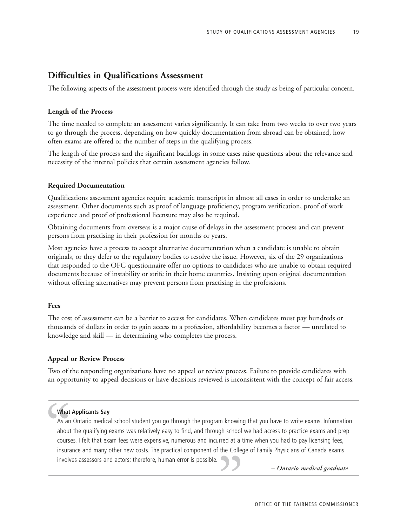# **Difficulties in Qualifications Assessment**

The following aspects of the assessment process were identified through the study as being of particular concern.

# **Length of the Process**

The time needed to complete an assessment varies significantly. It can take from two weeks to over two years to go through the process, depending on how quickly documentation from abroad can be obtained, how often exams are offered or the number of steps in the qualifying process.

The length of the process and the significant backlogs in some cases raise questions about the relevance and necessity of the internal policies that certain assessment agencies follow.

#### **Required Documentation**

Qualifications assessment agencies require academic transcripts in almost all cases in order to undertake an assessment. Other documents such as proof of language proficiency, program verification, proof of work experience and proof of professional licensure may also be required.

Obtaining documents from overseas is a major cause of delays in the assessment process and can prevent persons from practising in their profession for months or years.

Most agencies have a process to accept alternative documentation when a candidate is unable to obtain originals, or they defer to the regulatory bodies to resolve the issue. However, six of the 29 organizations that responded to the OFC questionnaire offer no options to candidates who are unable to obtain required documents because of instability or strife in their home countries. Insisting upon original documentation without offering alternatives may prevent persons from practising in the professions.

### **Fees**

The cost of assessment can be a barrier to access for candidates. When candidates must pay hundreds or thousands of dollars in order to gain access to a profession, affordability becomes a factor — unrelated to knowledge and skill — in determining who completes the process.

#### **Appeal or Review Process**

Two of the responding organizations have no appeal or review process. Failure to provide candidates with an opportunity to appeal decisions or have decisions reviewed is inconsistent with the concept of fair access.

#### **What Applicants Say**

What<br>As an<br>about<br>course<br>insura<br>involv As an Ontario medical school student you go through the program knowing that you have to write exams. Information about the qualifying exams was relatively easy to find, and through school we had access to practice exams and prep courses. I felt that exam fees were expensive, numerous and incurred at a time when you had to pay licensing fees, insurance and many other new costs. The practical component of the College of Family Physicians of Canada exams involves assessors and actors; therefore, human error is possible. *– Ontario medical graduate*<br>OFFICE OF THE FAIRNESS COMMISSIO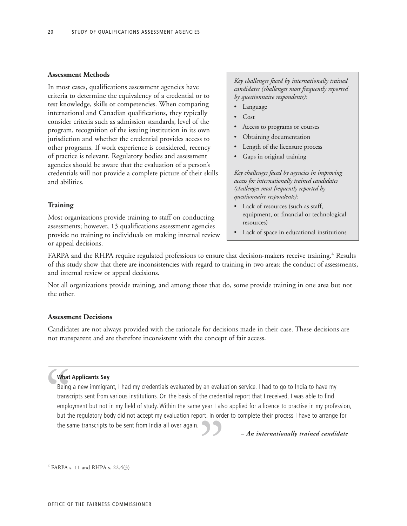#### **Assessment Methods**

In most cases, qualifications assessment agencies have criteria to determine the equivalency of a credential or to test knowledge, skills or competencies. When comparing international and Canadian qualifications, they typically consider criteria such as admission standards, level of the program, recognition of the issuing institution in its own jurisdiction and whether the credential provides access to other programs. If work experience is considered, recency of practice is relevant. Regulatory bodies and assessment agencies should be aware that the evaluation of a person's credentials will not provide a complete picture of their skills and abilities.

#### **Training**

Most organizations provide training to staff on conducting assessments; however, 13 qualifications assessment agencies provide no training to individuals on making internal review or appeal decisions.

*Key challenges faced by internationally trained candidates (challenges most frequently reported by questionnaire respondents):*

- Language
- Cost
- Access to programs or courses
- Obtaining documentation
- Length of the licensure process
- Gaps in original training

*Key challenges faced by agencies in improving access for internationally trained candidates (challenges most frequently reported by questionnaire respondents):*

- Lack of resources (such as staff, equipment, or financial or technological resources)
- Lack of space in educational institutions

FARPA and the RHPA require regulated professions to ensure that decision-makers receive training.<sup>4</sup> Results of this study show that there are inconsistencies with regard to training in two areas: the conduct of assessments, and internal review or appeal decisions.

Not all organizations provide training, and among those that do, some provide training in one area but not the other.

#### **Assessment Decisions**

Candidates are not always provided with the rationale for decisions made in their case. These decisions are not transparent and are therefore inconsistent with the concept of fair access.

### **What Applicants Say**

What<br>Being<br>transc<br>emplo<br>but the sa Being a new immigrant, I had my credentials evaluated by an evaluation service. I had to go to India to have my transcripts sent from various institutions. On the basis of the credential report that I received, I was able to find employment but not in my field of study. Within the same year I also applied for a licence to practise in my profession, but the regulatory body did not accept my evaluation report. In order to complete their process I have to arrange for the same transcripts to be sent from India all over again. *– An internationally trained candidate* "

<sup>4</sup> FARPA s. 11 and RHPA s. 22.4(3)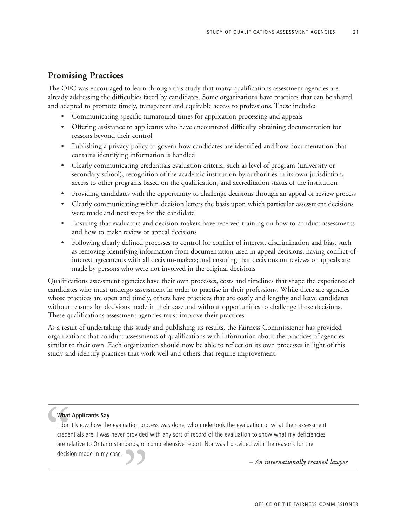# **Promising Practices**

The OFC was encouraged to learn through this study that many qualifications assessment agencies are already addressing the difficulties faced by candidates. Some organizations have practices that can be shared and adapted to promote timely, transparent and equitable access to professions. These include:

- Communicating specific turnaround times for application processing and appeals
- Offering assistance to applicants who have encountered difficulty obtaining documentation for reasons beyond their control
- Publishing a privacy policy to govern how candidates are identified and how documentation that contains identifying information is handled
- Clearly communicating credentials evaluation criteria, such as level of program (university or secondary school), recognition of the academic institution by authorities in its own jurisdiction, access to other programs based on the qualification, and accreditation status of the institution
- Providing candidates with the opportunity to challenge decisions through an appeal or review process
- Clearly communicating within decision letters the basis upon which particular assessment decisions were made and next steps for the candidate
- Ensuring that evaluators and decision-makers have received training on how to conduct assessments and how to make review or appeal decisions
- Following clearly defined processes to control for conflict of interest, discrimination and bias, such as removing identifying information from documentation used in appeal decisions; having conflict-ofinterest agreements with all decision-makers; and ensuring that decisions on reviews or appeals are made by persons who were not involved in the original decisions

Qualifications assessment agencies have their own processes, costs and timelines that shape the experience of candidates who must undergo assessment in order to practise in their professions. While there are agencies whose practices are open and timely, others have practices that are costly and lengthy and leave candidates without reasons for decisions made in their case and without opportunities to challenge those decisions. These qualifications assessment agencies must improve their practices.

As a result of undertaking this study and publishing its results, the Fairness Commissioner has provided organizations that conduct assessments of qualifications with information about the practices of agencies similar to their own. Each organization should now be able to reflect on its own processes in light of this study and identify practices that work well and others that require improvement.

# **What Applicants Say**

What<br>
I don'<br>
creder<br>
are re<br>
decisi I don't know how the evaluation process was done, who undertook the evaluation or what their assessment credentials are. I was never provided with any sort of record of the evaluation to show what my deficiencies are relative to Ontario standards, or comprehensive report. Nor was I provided with the reasons for the decision made in my case. *– An internationally trained lawyer*<br>
OFFICE OF THE FAIRNESS COMMISSIO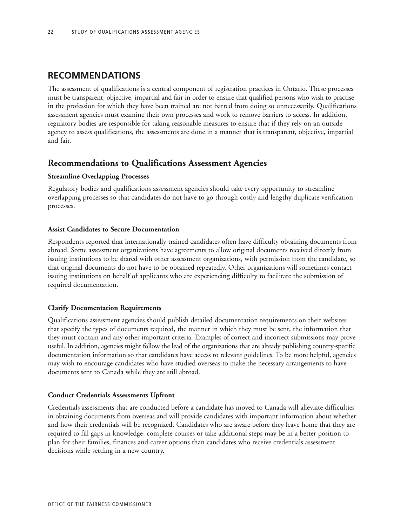# **RECOMMENDATIONS**

The assessment of qualifications is a central component of registration practices in Ontario. These processes must be transparent, objective, impartial and fair in order to ensure that qualified persons who wish to practise in the profession for which they have been trained are not barred from doing so unnecessarily. Qualifications assessment agencies must examine their own processes and work to remove barriers to access. In addition, regulatory bodies are responsible for taking reasonable measures to ensure that if they rely on an outside agency to assess qualifications, the assessments are done in a manner that is transparent, objective, impartial and fair.

# **Recommendations to Qualifications Assessment Agencies**

# **Streamline Overlapping Processes**

Regulatory bodies and qualifications assessment agencies should take every opportunity to streamline overlapping processes so that candidates do not have to go through costly and lengthy duplicate verification processes.

# **Assist Candidates to Secure Documentation**

Respondents reported that internationally trained candidates often have difficulty obtaining documents from abroad. Some assessment organizations have agreements to allow original documents received directly from issuing institutions to be shared with other assessment organizations, with permission from the candidate, so that original documents do not have to be obtained repeatedly. Other organizations will sometimes contact issuing institutions on behalf of applicants who are experiencing difficulty to facilitate the submission of required documentation.

# **Clarify Documentation Requirements**

Qualifications assessment agencies should publish detailed documentation requirements on their websites that specify the types of documents required, the manner in which they must be sent, the information that they must contain and any other important criteria. Examples of correct and incorrect submissions may prove useful. In addition, agencies might follow the lead of the organizations that are already publishing country-specific documentation information so that candidates have access to relevant guidelines. To be more helpful, agencies may wish to encourage candidates who have studied overseas to make the necessary arrangements to have documents sent to Canada while they are still abroad.

# **Conduct Credentials Assessments Upfront**

Credentials assessments that are conducted before a candidate has moved to Canada will alleviate difficulties in obtaining documents from overseas and will provide candidates with important information about whether and how their credentials will be recognized. Candidates who are aware before they leave home that they are required to fill gaps in knowledge, complete courses or take additional steps may be in a better position to plan for their families, finances and career options than candidates who receive credentials assessment decisions while settling in a new country.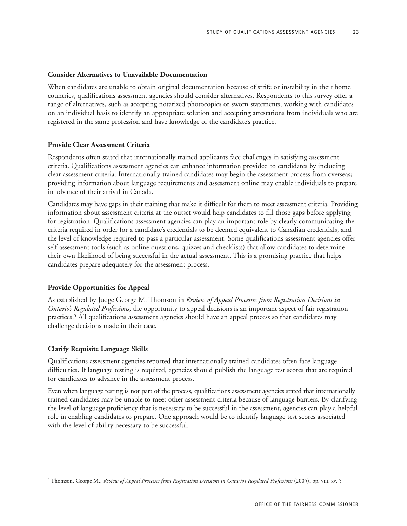#### **Consider Alternatives to Unavailable Documentation**

When candidates are unable to obtain original documentation because of strife or instability in their home countries, qualifications assessment agencies should consider alternatives. Respondents to this survey offer a range of alternatives, such as accepting notarized photocopies or sworn statements, working with candidates on an individual basis to identify an appropriate solution and accepting attestations from individuals who are registered in the same profession and have knowledge of the candidate's practice.

#### **Provide Clear Assessment Criteria**

Respondents often stated that internationally trained applicants face challenges in satisfying assessment criteria. Qualifications assessment agencies can enhance information provided to candidates by including clear assessment criteria. Internationally trained candidates may begin the assessment process from overseas; providing information about language requirements and assessment online may enable individuals to prepare in advance of their arrival in Canada.

Candidates may have gaps in their training that make it difficult for them to meet assessment criteria. Providing information about assessment criteria at the outset would help candidates to fill those gaps before applying for registration. Qualifications assessment agencies can play an important role by clearly communicating the criteria required in order for a candidate's credentials to be deemed equivalent to Canadian credentials, and the level of knowledge required to pass a particular assessment. Some qualifications assessment agencies offer self-assessment tools (such as online questions, quizzes and checklists) that allow candidates to determine their own likelihood of being successful in the actual assessment. This is a promising practice that helps candidates prepare adequately for the assessment process.

### **Provide Opportunities for Appeal**

As established by Judge George M. Thomson in *Review of Appeal Processes from Registration Decisions in Ontario's Regulated Professions*, the opportunity to appeal decisions is an important aspect of fair registration practices.5 All qualifications assessment agencies should have an appeal process so that candidates may challenge decisions made in their case.

#### **Clarify Requisite Language Skills**

Qualifications assessment agencies reported that internationally trained candidates often face language difficulties. If language testing is required, agencies should publish the language test scores that are required for candidates to advance in the assessment process.

Even when language testing is not part of the process, qualifications assessment agencies stated that internationally trained candidates may be unable to meet other assessment criteria because of language barriers. By clarifying the level of language proficiency that is necessary to be successful in the assessment, agencies can play a helpful role in enabling candidates to prepare. One approach would be to identify language test scores associated with the level of ability necessary to be successful.

<sup>5</sup> Thomson, George M., *Review of Appeal Processes from Registration Decisions in Ontario's Regulated Professions* (2005), pp. viii, xv, 5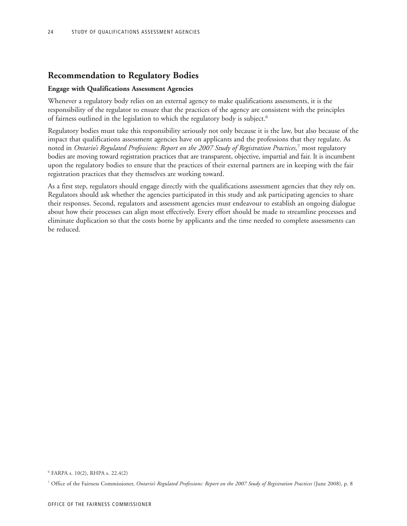# **Recommendation to Regulatory Bodies**

### **Engage with Qualifications Assessment Agencies**

Whenever a regulatory body relies on an external agency to make qualifications assessments, it is the responsibility of the regulator to ensure that the practices of the agency are consistent with the principles of fairness outlined in the legislation to which the regulatory body is subject.<sup>6</sup>

Regulatory bodies must take this responsibility seriously not only because it is the law, but also because of the impact that qualifications assessment agencies have on applicants and the professions that they regulate. As noted in *Ontario's Regulated Professions: Report on the 2007 Study of Registration Practices,*<sup>7</sup> most regulatory bodies are moving toward registration practices that are transparent, objective, impartial and fair. It is incumbent upon the regulatory bodies to ensure that the practices of their external partners are in keeping with the fair registration practices that they themselves are working toward.

As a first step, regulators should engage directly with the qualifications assessment agencies that they rely on. Regulators should ask whether the agencies participated in this study and ask participating agencies to share their responses. Second, regulators and assessment agencies must endeavour to establish an ongoing dialogue about how their processes can align most effectively. Every effort should be made to streamline processes and eliminate duplication so that the costs borne by applicants and the time needed to complete assessments can be reduced.

 $6$  FARPA s. 10(2), RHPA s. 22.4(2)

<sup>7</sup> Office of the Fairness Commissioner, *Ontario's Regulated Professions: Report on the 2007 Study of Registration Practices* (June 2008), p. 8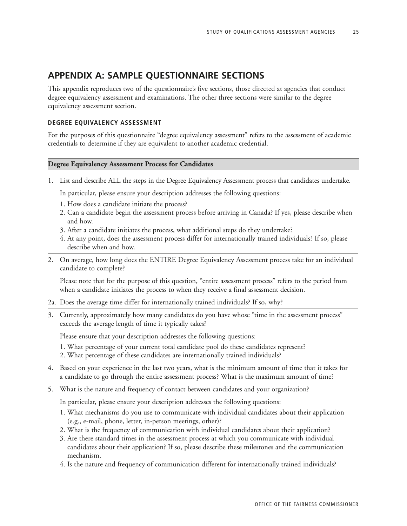# **APPENDIX A: SAMPLE QUESTIONNAIRE SECTIONS**

This appendix reproduces two of the questionnaire's five sections, those directed at agencies that conduct degree equivalency assessment and examinations. The other three sections were similar to the degree equivalency assessment section.

# **DEGREE EQUIVALENCY ASSESSMENT**

For the purposes of this questionnaire "degree equivalency assessment" refers to the assessment of academic credentials to determine if they are equivalent to another academic credential.

# **Degree Equivalency Assessment Process for Candidates**

1. List and describe ALL the steps in the Degree Equivalency Assessment process that candidates undertake.

In particular, please ensure your description addresses the following questions:

- 1. How does a candidate initiate the process?
- 2. Can a candidate begin the assessment process before arriving in Canada? If yes, please describe when and how.
- 3. After a candidate initiates the process, what additional steps do they undertake?
- 4. At any point, does the assessment process differ for internationally trained individuals? If so, please describe when and how.
- 2. On average, how long does the ENTIRE Degree Equivalency Assessment process take for an individual candidate to complete?

Please note that for the purpose of this question, "entire assessment process" refers to the period from when a candidate initiates the process to when they receive a final assessment decision.

- 2a. Does the average time differ for internationally trained individuals? If so, why?
- 3. Currently, approximately how many candidates do you have whose "time in the assessment process" exceeds the average length of time it typically takes?

Please ensure that your description addresses the following questions:

- 1. What percentage of your current total candidate pool do these candidates represent?
- 2. What percentage of these candidates are internationally trained individuals?
- 4. Based on your experience in the last two years, what is the minimum amount of time that it takes for a candidate to go through the entire assessment process? What is the maximum amount of time?
- 5. What is the nature and frequency of contact between candidates and your organization?

In particular, please ensure your description addresses the following questions:

- 1. What mechanisms do you use to communicate with individual candidates about their application (e.g., e-mail, phone, letter, in-person meetings, other)?
- 2. What is the frequency of communication with individual candidates about their application?
- 3. Are there standard times in the assessment process at which you communicate with individual candidates about their application? If so, please describe these milestones and the communication mechanism.
- 4. Is the nature and frequency of communication different for internationally trained individuals?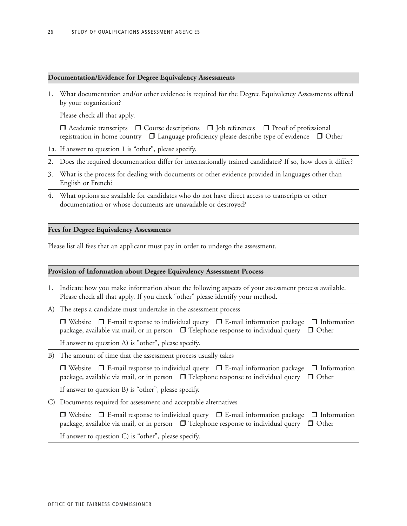#### **Documentation/Evidence for Degree Equivalency Assessments**

1. What documentation and/or other evidence is required for the Degree Equivalency Assessments offered by your organization?

Please check all that apply.

| $\Box$ Academic transcripts $\Box$ Course descriptions $\Box$ Job references $\Box$ Proof of professional |  |  |  |
|-----------------------------------------------------------------------------------------------------------|--|--|--|
| registration in home country □ Language proficiency please describe type of evidence □ Other              |  |  |  |

- 1a. If answer to question 1 is "other", please specify.
- 2. Does the required documentation differ for internationally trained candidates? If so, how does it differ?
- 3. What is the process for dealing with documents or other evidence provided in languages other than English or French?
- 4. What options are available for candidates who do not have direct access to transcripts or other documentation or whose documents are unavailable or destroyed?

#### **Fees for Degree Equivalency Assessments**

Please list all fees that an applicant must pay in order to undergo the assessment.

#### **Provision of Information about Degree Equivalency Assessment Process**

- 1. Indicate how you make information about the following aspects of your assessment process available. Please check all that apply. If you check "other" please identify your method.
- A) The steps a candidate must undertake in the assessment process

|                                                      | $\Box$ Website $\Box$ E-mail response to individual query $\Box$ E-mail information package $\Box$ Information |  |
|------------------------------------------------------|----------------------------------------------------------------------------------------------------------------|--|
|                                                      | package, available via mail, or in person $\Box$ Telephone response to individual query $\Box$ Other           |  |
| If answer to question A) is "other", please specify. |                                                                                                                |  |

B) The amount of time that the assessment process usually takes

 $\Box$  Website  $\Box$  E-mail response to individual query  $\Box$  E-mail information package  $\Box$  Information package, available via mail, or in person  $\Box$  Telephone response to individual query  $\Box$  Other

If answer to question B) is "other", please specify.

C) Documents required for assessment and acceptable alternatives

 $\Box$  Website  $\Box$  E-mail response to individual query  $\Box$  E-mail information package  $\Box$  Information package, available via mail, or in person  $\Box$  Telephone response to individual query  $\Box$  Other If answer to question C) is "other", please specify.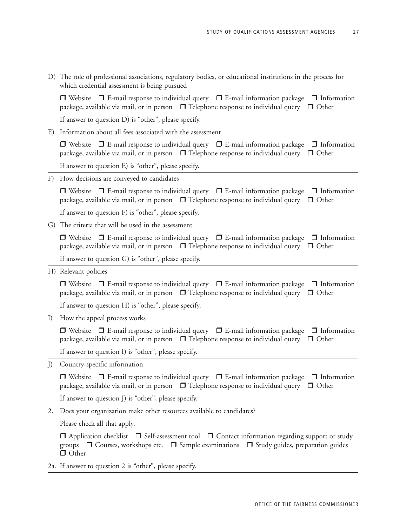D) The role of professional associations, regulatory bodies, or educational institutions in the process for which credential assessment is being pursued

 $\Box$  Website  $\Box$  E-mail response to individual query  $\Box$  E-mail information package  $\Box$  Information package, available via mail, or in person  $\Box$  Telephone response to individual query  $\Box$  Other

If answer to question D) is "other", please specify.

E) Information about all fees associated with the assessment

 $\Box$  Website  $\Box$  E-mail response to individual query  $\Box$  E-mail information package  $\Box$  Information package, available via mail, or in person  $\Box$  Telephone response to individual query  $\Box$  Other

If answer to question E) is "other", please specify.

F) How decisions are conveyed to candidates

 $\Box$  Website  $\Box$  E-mail response to individual query  $\Box$  E-mail information package  $\Box$  Information package, available via mail, or in person  $\Box$  Telephone response to individual query  $\Box$  Other

If answer to question F) is "other", please specify.

G) The criteria that will be used in the assessment

 $\Box$  Website  $\Box$  E-mail response to individual query  $\Box$  E-mail information package  $\Box$  Information package, available via mail, or in person  $\Box$  Telephone response to individual query  $\Box$  Other

If answer to question G) is "other", please specify.

H) Relevant policies

 $\Box$  Website  $\Box$  E-mail response to individual query  $\Box$  E-mail information package  $\Box$  Information package, available via mail, or in person  $\Box$  Telephone response to individual query  $\Box$  Other

If answer to question H) is "other", please specify.

I) How the appeal process works

 $\Box$  Website  $\Box$  E-mail response to individual query  $\Box$  E-mail information package  $\Box$  Information package, available via mail, or in person  $\Box$  Telephone response to individual query  $\Box$  Other

If answer to question I) is "other", please specify.

J) Country-specific information

 $\Box$  Website  $\Box$  E-mail response to individual query  $\Box$  E-mail information package  $\Box$  Information package, available via mail, or in person  $\Box$  Telephone response to individual query  $\Box$  Other

If answer to question J) is "other", please specify.

2. Does your organization make other resources available to candidates?

Please check all that apply.

 $\Box$  Application checklist  $\Box$  Self-assessment tool  $\Box$  Contact information regarding support or study groups  $\Box$  Courses, workshops etc.  $\Box$  Sample examinations  $\Box$  Study guides, preparation guides □ Other

2a. If answer to question 2 is "other", please specify.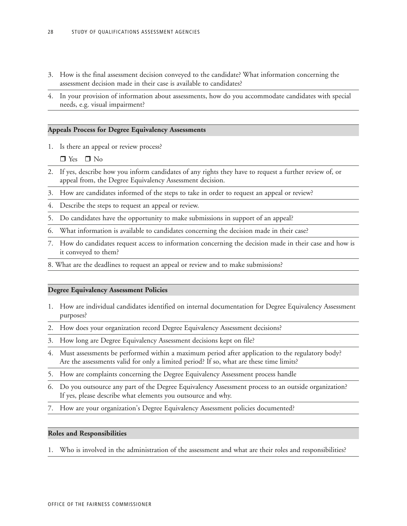- 3. How is the final assessment decision conveyed to the candidate? What information concerning the assessment decision made in their case is available to candidates?
- 4. In your provision of information about assessments, how do you accommodate candidates with special needs, e.g. visual impairment?

### **Appeals Process for Degree Equivalency Assessments**

1. Is there an appeal or review process?

 $\Box$  Yes  $\Box$  No

- 2. If yes, describe how you inform candidates of any rights they have to request a further review of, or appeal from, the Degree Equivalency Assessment decision.
- 3. How are candidates informed of the steps to take in order to request an appeal or review?
- 4. Describe the steps to request an appeal or review.
- 5. Do candidates have the opportunity to make submissions in support of an appeal?
- 6. What information is available to candidates concerning the decision made in their case?
- 7. How do candidates request access to information concerning the decision made in their case and how is it conveyed to them?
- 8. What are the deadlines to request an appeal or review and to make submissions?

#### **Degree Equivalency Assessment Policies**

- 1. How are individual candidates identified on internal documentation for Degree Equivalency Assessment purposes?
- 2. How does your organization record Degree Equivalency Assessment decisions?
- 3. How long are Degree Equivalency Assessment decisions kept on file?
- 4. Must assessments be performed within a maximum period after application to the regulatory body? Are the assessments valid for only a limited period? If so, what are these time limits?
- 5. How are complaints concerning the Degree Equivalency Assessment process handle
- 6. Do you outsource any part of the Degree Equivalency Assessment process to an outside organization? If yes, please describe what elements you outsource and why.
- 7. How are your organization's Degree Equivalency Assessment policies documented?

#### **Roles and Responsibilities**

1. Who is involved in the administration of the assessment and what are their roles and responsibilities?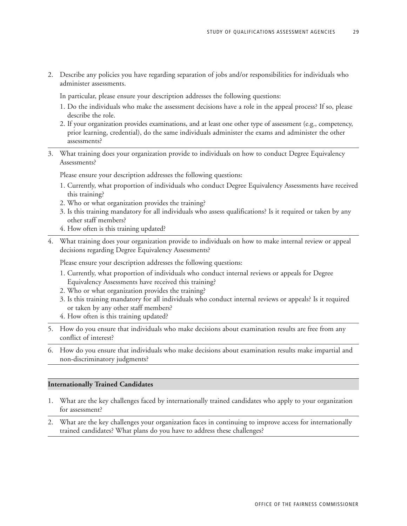2. Describe any policies you have regarding separation of jobs and/or responsibilities for individuals who administer assessments.

In particular, please ensure your description addresses the following questions:

- 1. Do the individuals who make the assessment decisions have a role in the appeal process? If so, please describe the role.
- 2. If your organization provides examinations, and at least one other type of assessment (e.g., competency, prior learning, credential), do the same individuals administer the exams and administer the other assessments?
- 3. What training does your organization provide to individuals on how to conduct Degree Equivalency Assessments?

Please ensure your description addresses the following questions:

- 1. Currently, what proportion of individuals who conduct Degree Equivalency Assessments have received this training?
- 2. Who or what organization provides the training?
- 3. Is this training mandatory for all individuals who assess qualifications? Is it required or taken by any other staff members?
- 4. How often is this training updated?
- 4. What training does your organization provide to individuals on how to make internal review or appeal decisions regarding Degree Equivalency Assessments?

Please ensure your description addresses the following questions:

- 1. Currently, what proportion of individuals who conduct internal reviews or appeals for Degree Equivalency Assessments have received this training?
- 2. Who or what organization provides the training?
- 3. Is this training mandatory for all individuals who conduct internal reviews or appeals? Is it required or taken by any other staff members?
- 4. How often is this training updated?
- 5. How do you ensure that individuals who make decisions about examination results are free from any conflict of interest?
- 6. How do you ensure that individuals who make decisions about examination results make impartial and non-discriminatory judgments?

#### **Internationally Trained Candidates**

- 1. What are the key challenges faced by internationally trained candidates who apply to your organization for assessment?
- 2. What are the key challenges your organization faces in continuing to improve access for internationally trained candidates? What plans do you have to address these challenges?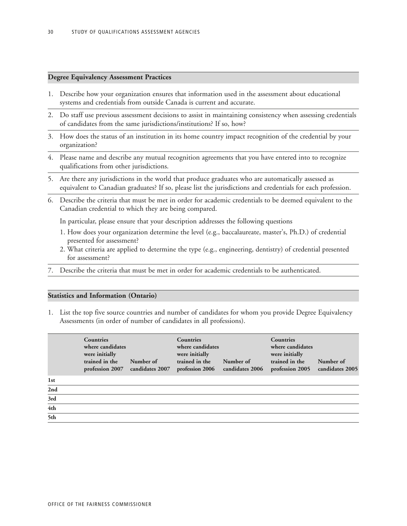#### **Degree Equivalency Assessment Practices**

- 1. Describe how your organization ensures that information used in the assessment about educational systems and credentials from outside Canada is current and accurate.
- 2. Do staff use previous assessment decisions to assist in maintaining consistency when assessing credentials of candidates from the same jurisdictions/institutions? If so, how?
- 3. How does the status of an institution in its home country impact recognition of the credential by your organization?
- 4. Please name and describe any mutual recognition agreements that you have entered into to recognize qualifications from other jurisdictions.
- 5. Are there any jurisdictions in the world that produce graduates who are automatically assessed as equivalent to Canadian graduates? If so, please list the jurisdictions and credentials for each profession.
- 6. Describe the criteria that must be met in order for academic credentials to be deemed equivalent to the Canadian credential to which they are being compared.

In particular, please ensure that your description addresses the following questions

- 1. How does your organization determine the level (e.g., baccalaureate, master's, Ph.D.) of credential presented for assessment?
- 2. What criteria are applied to determine the type (e.g., engineering, dentistry) of credential presented for assessment?
- Describe the criteria that must be met in order for academic credentials to be authenticated.

#### **Statistics and Information (Ontario)**

1. List the top five source countries and number of candidates for whom you provide Degree Equivalency Assessments (in order of number of candidates in all professions).

|                 | <b>Countries</b><br>where candidates<br>were initially<br>trained in the<br>profession 2007 | Number of<br>candidates 2007 | <b>Countries</b><br>where candidates<br>were initially<br>trained in the<br>profession 2006 | Number of<br>candidates 2006 | <b>Countries</b><br>where candidates<br>were initially<br>trained in the<br>profession 2005 | Number of<br>candidates 2005 |
|-----------------|---------------------------------------------------------------------------------------------|------------------------------|---------------------------------------------------------------------------------------------|------------------------------|---------------------------------------------------------------------------------------------|------------------------------|
| 1 <sub>st</sub> |                                                                                             |                              |                                                                                             |                              |                                                                                             |                              |
| 2nd             |                                                                                             |                              |                                                                                             |                              |                                                                                             |                              |
| 3rd             |                                                                                             |                              |                                                                                             |                              |                                                                                             |                              |
| 4th             |                                                                                             |                              |                                                                                             |                              |                                                                                             |                              |
| 5th             |                                                                                             |                              |                                                                                             |                              |                                                                                             |                              |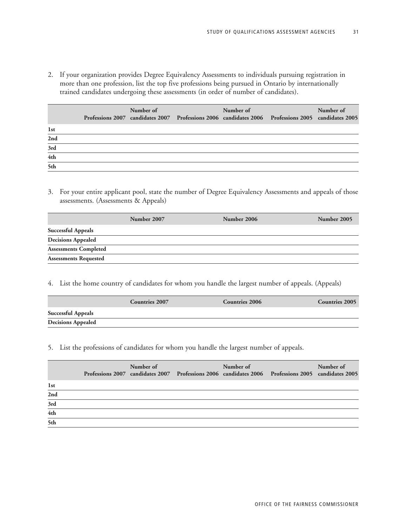2. If your organization provides Degree Equivalency Assessments to individuals pursuing registration in more than one profession, list the top five professions being pursued in Ontario by internationally trained candidates undergoing these assessments (in order of number of candidates).

|                 | Number of | Number of | Professions 2007 candidates 2007 Professions 2006 candidates 2006 Professions 2005 candidates 2005 | Number of |
|-----------------|-----------|-----------|----------------------------------------------------------------------------------------------------|-----------|
| 1 <sub>st</sub> |           |           |                                                                                                    |           |
| 2nd             |           |           |                                                                                                    |           |
| 3rd             |           |           |                                                                                                    |           |
| 4th             |           |           |                                                                                                    |           |
| 5th             |           |           |                                                                                                    |           |

3. For your entire applicant pool, state the number of Degree Equivalency Assessments and appeals of those assessments. (Assessments & Appeals)

|                              | Number 2007 | Number 2006 | Number 2005 |
|------------------------------|-------------|-------------|-------------|
| <b>Successful Appeals</b>    |             |             |             |
| <b>Decisions Appealed</b>    |             |             |             |
| <b>Assessments Completed</b> |             |             |             |
| <b>Assessments Requested</b> |             |             |             |

4. List the home country of candidates for whom you handle the largest number of appeals. (Appeals)

|                           | <b>Countries 2007</b> | <b>Countries 2006</b> | <b>Countries 2005</b> |
|---------------------------|-----------------------|-----------------------|-----------------------|
| <b>Successful Appeals</b> |                       |                       |                       |
| <b>Decisions Appealed</b> |                       |                       |                       |

5. List the professions of candidates for whom you handle the largest number of appeals.

|     | Number of | Number of | Professions 2007 candidates 2007 Professions 2006 candidates 2006 Professions 2005 candidates 2005 | Number of |
|-----|-----------|-----------|----------------------------------------------------------------------------------------------------|-----------|
| 1st |           |           |                                                                                                    |           |
| 2nd |           |           |                                                                                                    |           |
| 3rd |           |           |                                                                                                    |           |
| 4th |           |           |                                                                                                    |           |
| 5th |           |           |                                                                                                    |           |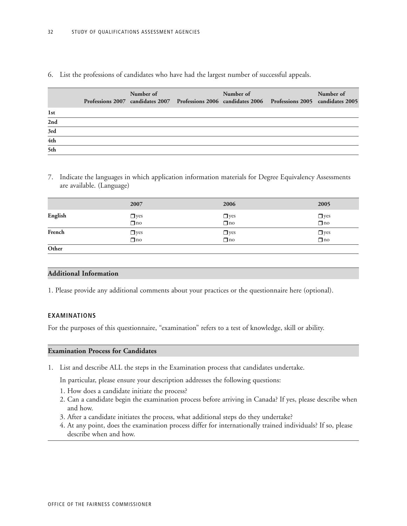# 6. List the professions of candidates who have had the largest number of successful appeals.

|                  | Number of | Number of | Professions 2007 candidates 2007 Professions 2006 candidates 2006 Professions 2005 candidates 2005 | Number of |
|------------------|-----------|-----------|----------------------------------------------------------------------------------------------------|-----------|
| 1st              |           |           |                                                                                                    |           |
| 2nd              |           |           |                                                                                                    |           |
| $\overline{3rd}$ |           |           |                                                                                                    |           |
| 4th              |           |           |                                                                                                    |           |
| $rac{1}{5}$ th   |           |           |                                                                                                    |           |

7. Indicate the languages in which application information materials for Degree Equivalency Assessments are available. (Language)

|         | 2007                               | 2006                                     | 2005       |
|---------|------------------------------------|------------------------------------------|------------|
| English | $\Box$ yes<br>$\overline{\Box}$ no | $\Box$ yes<br>$\overline{\mathbf{u}}$ no | $\Box$ yes |
| French  | $\Box$ yes                         | $\Box$ yes                               | $\Box$ yes |
| Other   |                                    |                                          |            |

#### **Additional Information**

1. Please provide any additional comments about your practices or the questionnaire here (optional).

# **EXAMINATIONS**

For the purposes of this questionnaire, "examination" refers to a test of knowledge, skill or ability.

### **Examination Process for Candidates**

1. List and describe ALL the steps in the Examination process that candidates undertake.

In particular, please ensure your description addresses the following questions:

- 1. How does a candidate initiate the process?
- 2. Can a candidate begin the examination process before arriving in Canada? If yes, please describe when and how.
- 3. After a candidate initiates the process, what additional steps do they undertake?
- 4. At any point, does the examination process differ for internationally trained individuals? If so, please describe when and how.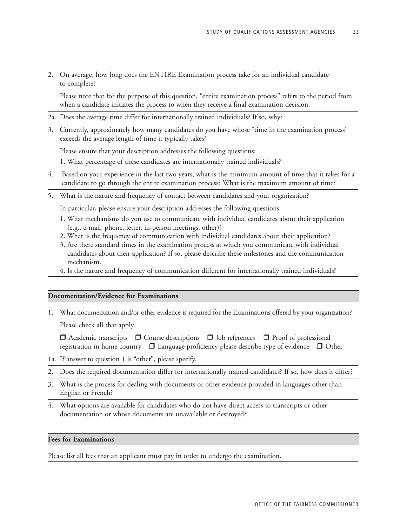2. On average, how long does the ENTIRE Examination process take for an individual candidate to complete?

Please note that for the purpose of this question, "entire examination process" refers to the period from when a candidate initiates the process to when they receive a final examination decision.

- 2a. Does the average time differ for internationally trained individuals? If so, why?
- 3. Currently, approximately how many candidates do you have whose "time in the examination process" exceeds the average length of time it typically takes?

Please ensure that your description addresses the following questions:

1. What percentage of these candidates are internationally trained individuals?

- 4. Based on your experience in the last two years, what is the minimum amount of time that it takes for a candidate to go through the entire examination process? What is the maximum amount of time?
- 5. What is the nature and frequency of contact between candidates and your organization?

In particular, please ensure your description addresses the following questions:

- 1. What mechanisms do you use to communicate with individual candidates about their application (e.g., e-mail, phone, letter, in-person meetings, other)?
- 2. What is the frequency of communication with individual candidates about their application?
- 3. Are there standard times in the examination process at which you communicate with individual candidates about their application? If so, please describe these milestones and the communication mechanism.
- 4. Is the nature and frequency of communication different for internationally trained individuals?

### **Documentation/Evidence for Examinations**

1. What documentation and/or other evidence is required for the Examinations offered by your organization? Please check all that apply.

 $\Box$  Academic transcripts  $\Box$  Course descriptions  $\Box$  Job references  $\Box$  Proof of professional registration in home country  $\Box$  Language proficiency please describe type of evidence  $\Box$  Other

- 1a. If answer to question 1 is "other", please specify.
- 2. Does the required documentation differ for internationally trained candidates? If so, how does it differ?
- 3. What is the process for dealing with documents or other evidence provided in languages other than English or French?
- 4. What options are available for candidates who do not have direct access to transcripts or other documentation or whose documents are unavailable or destroyed?

#### **Fees for Examinations**

Please list all fees that an applicant must pay in order to undergo the examination.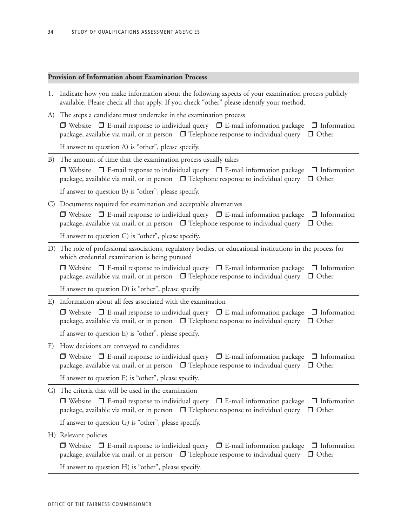# **Provision of Information about Examination Process**

| 1. | Indicate how you make information about the following aspects of your examination process publicly<br>available. Please check all that apply. If you check "other" please identify your method.                              |
|----|------------------------------------------------------------------------------------------------------------------------------------------------------------------------------------------------------------------------------|
|    | A) The steps a candidate must undertake in the examination process                                                                                                                                                           |
|    | $\Box$ Website $\Box$ E-mail response to individual query $\Box$ E-mail information package $\Box$ Information<br>package, available via mail, or in person $\Box$ Telephone response to individual query $\Box$ Other       |
|    | If answer to question A) is "other", please specify.                                                                                                                                                                         |
| B) | The amount of time that the examination process usually takes                                                                                                                                                                |
|    | $\Box$ Website $\Box$ E-mail response to individual query $\Box$ E-mail information package $\Box$ Information<br>package, available via mail, or in person $\Box$ Telephone response to individual query $\Box$ Other       |
|    | If answer to question B) is "other", please specify.                                                                                                                                                                         |
|    | C) Documents required for examination and acceptable alternatives                                                                                                                                                            |
|    | $\Box$ Website $\Box$ E-mail response to individual query $\Box$ E-mail information package $\Box$ Information<br>package, available via mail, or in person $\Box$ Telephone response to individual query $\Box$ Other       |
|    | If answer to question C) is "other", please specify.                                                                                                                                                                         |
|    | D) The role of professional associations, regulatory bodies, or educational institutions in the process for<br>which credential examination is being pursued                                                                 |
|    | $\Box$ Website $\Box$ E-mail response to individual query $\Box$ E-mail information package $\Box$ Information<br>package, available via mail, or in person $\Box$ Telephone response to individual query $\Box$ Other       |
|    | If answer to question D) is "other", please specify.                                                                                                                                                                         |
| E) | Information about all fees associated with the examination                                                                                                                                                                   |
|    | $\Box$ Website $\Box$ E-mail response to individual query $\Box$ E-mail information package $\Box$ Information<br>package, available via mail, or in person $\Box$ Telephone response to individual query $\Box$ Other       |
|    | If answer to question E) is "other", please specify.                                                                                                                                                                         |
| F) | How decisions are conveyed to candidates                                                                                                                                                                                     |
|    | $\Box$ Website $\Box$ E-mail response to individual query $\Box$ E-mail information package $\Box$ Information<br>package, available via mail, or in person $\Box$ Telephone response to individual query $\Box$ Other       |
|    | If answer to question F) is "other", please specify.                                                                                                                                                                         |
|    | G) The criteria that will be used in the examination                                                                                                                                                                         |
|    | $\Box$ Website $\Box$ E-mail response to individual query $\Box$ E-mail information package<br>$\Box$ Information<br>package, available via mail, or in person $\Box$ Telephone response to individual query<br>$\Box$ Other |
|    | If answer to question G) is "other", please specify.                                                                                                                                                                         |
|    | H) Relevant policies                                                                                                                                                                                                         |
|    | $\Box$ Website $\Box$ E-mail response to individual query $\Box$ E-mail information package $\Box$ Information                                                                                                               |
|    | package, available via mail, or in person $\Box$ Telephone response to individual query<br>$\Box$ Other                                                                                                                      |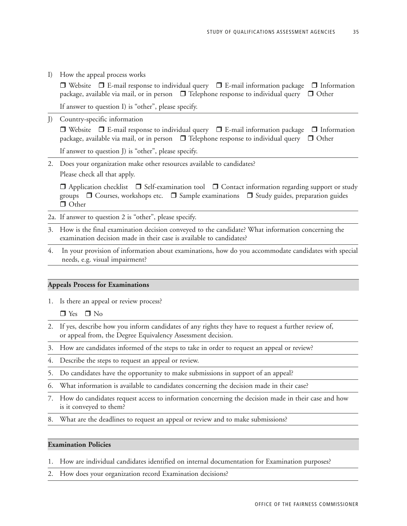I) How the appeal process works

 $\Box$  Website  $\Box$  E-mail response to individual query  $\Box$  E-mail information package  $\Box$  Information package, available via mail, or in person  $\Box$  Telephone response to individual query  $\Box$  Other

If answer to question I) is "other", please specify.

J) Country-specific information

 $\Box$  Website  $\Box$  E-mail response to individual query  $\Box$  E-mail information package  $\Box$  Information package, available via mail, or in person  $\Box$  Telephone response to individual query  $\Box$  Other

If answer to question J) is "other", please specify.

2. Does your organization make other resources available to candidates? Please check all that apply.

 $\Box$  Application checklist  $\Box$  Self-examination tool  $\Box$  Contact information regarding support or study groups  $\Box$  Courses, workshops etc.  $\Box$  Sample examinations  $\Box$  Study guides, preparation guides □ Other

- 2a. If answer to question 2 is "other", please specify.
- 3. How is the final examination decision conveyed to the candidate? What information concerning the examination decision made in their case is available to candidates?
- 4. In your provision of information about examinations, how do you accommodate candidates with special needs, e.g. visual impairment?

### **Appeals Process for Examinations**

1. Is there an appeal or review process?

 $\Box$  Yes  $\Box$  No

- 2. If yes, describe how you inform candidates of any rights they have to request a further review of, or appeal from, the Degree Equivalency Assessment decision.
- 3. How are candidates informed of the steps to take in order to request an appeal or review?
- 4. Describe the steps to request an appeal or review.
- 5. Do candidates have the opportunity to make submissions in support of an appeal?
- 6. What information is available to candidates concerning the decision made in their case?
- 7. How do candidates request access to information concerning the decision made in their case and how is it conveyed to them?
- 8. What are the deadlines to request an appeal or review and to make submissions?

#### **Examination Policies**

1. How are individual candidates identified on internal documentation for Examination purposes?

2. How does your organization record Examination decisions?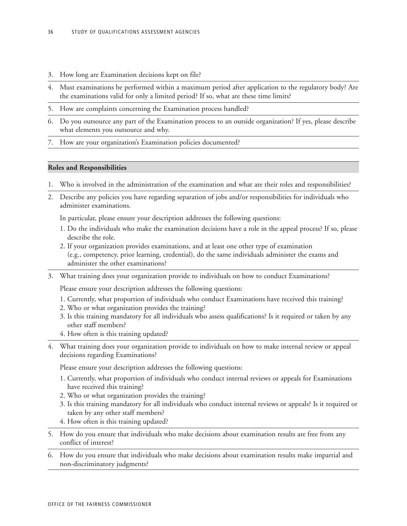- 3. How long are Examination decisions kept on file?
- 4. Must examinations be performed within a maximum period after application to the regulatory body? Are the examinations valid for only a limited period? If so, what are these time limits?
- 5. How are complaints concerning the Examination process handled?
- 6. Do you outsource any part of the Examination process to an outside organization? If yes, please describe what elements you outsource and why.
- 7. How are your organization's Examination policies documented?

#### **Roles and Responsibilities**

- 1. Who is involved in the administration of the examination and what are their roles and responsibilities?
- 2. Describe any policies you have regarding separation of jobs and/or responsibilities for individuals who administer examinations.

In particular, please ensure your description addresses the following questions:

- 1. Do the individuals who make the examination decisions have a role in the appeal process? If so, please describe the role.
- 2. If your organization provides examinations, and at least one other type of examination (e.g., competency, prior learning, credential), do the same individuals administer the exams and administer the other examinations?
- 3. What training does your organization provide to individuals on how to conduct Examinations?

Please ensure your description addresses the following questions:

- 1. Currently, what proportion of individuals who conduct Examinations have received this training?
- 2. Who or what organization provides the training?
- 3. Is this training mandatory for all individuals who assess qualifications? Is it required or taken by any other staff members?
- 4. How often is this training updated?
- 4. What training does your organization provide to individuals on how to make internal review or appeal decisions regarding Examinations?

Please ensure your description addresses the following questions:

- 1. Currently, what proportion of individuals who conduct internal reviews or appeals for Examinations have received this training?
- 2. Who or what organization provides the training?
- 3. Is this training mandatory for all individuals who conduct internal reviews or appeals? Is it required or taken by any other staff members?
- 4. How often is this training updated?
- 5. How do you ensure that individuals who make decisions about examination results are free from any conflict of interest?
- 6. How do you ensure that individuals who make decisions about examination results make impartial and non-discriminatory judgments?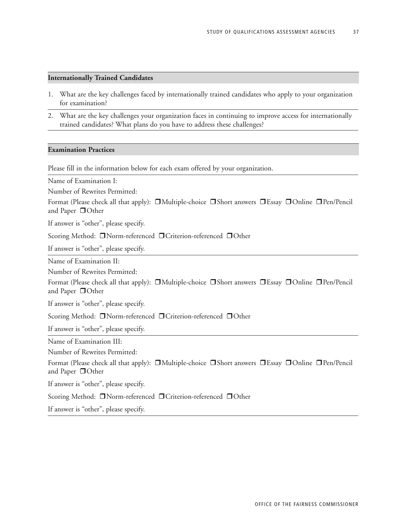### **Internationally Trained Candidates**

- 1. What are the key challenges faced by internationally trained candidates who apply to your organization for examination?
- 2. What are the key challenges your organization faces in continuing to improve access for internationally trained candidates? What plans do you have to address these challenges?

#### **Examination Practices**

Please fill in the information below for each exam offered by your organization.

Name of Examination I:

Number of Rewrites Permitted:

Format (Please check all that apply):  $\Box$ Multiple-choice  $\Box$ Short answers  $\Box$ Essay  $\Box$ Online  $\Box$ Pen/Pencil and Paper **O**Other

If answer is "other", please specify.

Scoring Method: **Norm-referenced DCriterion-referenced DOther** 

If answer is "other", please specify.

Name of Examination II:

Number of Rewrites Permitted:

Format (Please check all that apply):  $\Box$ Multiple-choice  $\Box$ Short answers  $\Box$ Essay  $\Box$ Online  $\Box$ Pen/Pencil and Paper  $\Box$  Other

If answer is "other", please specify.

Scoring Method: □Norm-referenced □Criterion-referenced □Other

If answer is "other", please specify.

Name of Examination III:

Number of Rewrites Permitted:

Format (Please check all that apply):  $\Box$ Multiple-choice  $\Box$ Short answers  $\Box$ Essay  $\Box$ Online  $\Box$ Pen/Pencil and Paper **O**Other

If answer is "other", please specify.

Scoring Method: **Norm-referenced DCriterion-referenced DOther** 

If answer is "other", please specify.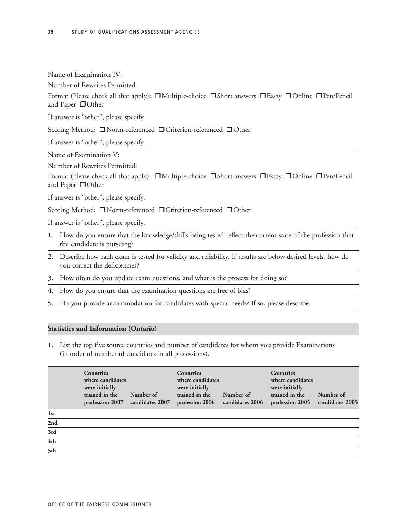| Name of Examination IV: |  |
|-------------------------|--|
|                         |  |

Number of Rewrites Permitted:

Format (Please check all that apply):  $\Box$ Multiple-choice  $\Box$ Short answers  $\Box$ Essay  $\Box$ Online  $\Box$ Pen/Pencil and Paper **O**Other

If answer is "other", please specify.

Scoring Method: **Norm-referenced DCriterion-referenced DOther** 

If answer is "other", please specify.

Name of Examination V:

Number of Rewrites Permitted:

Format (Please check all that apply):  $\Box$ Multiple-choice  $\Box$ Short answers  $\Box$ Essay  $\Box$ Online  $\Box$ Pen/Pencil and Paper  $\Box$  Other

If answer is "other", please specify.

Scoring Method: □Norm-referenced □Criterion-referenced □Other

If answer is "other", please specify.

- 1. How do you ensure that the knowledge/skills being tested reflect the current state of the profession that the candidate is pursuing?
- 2. Describe how each exam is tested for validity and reliability. If results are below desired levels, how do you correct the deficiencies?
- 3. How often do you update exam questions, and what is the process for doing so?
- 4. How do you ensure that the examination questions are free of bias?
- 5. Do you provide accommodation for candidates with special needs? If so, please describe.

### **Statistics and Information (Ontario)**

1. List the top five source countries and number of candidates for whom you provide Examinations (in order of number of candidates in all professions).

|                 | <b>Countries</b><br>where candidates<br>were initially<br>trained in the<br>profession 2007 | Number of<br>candidates 2007 | <b>Countries</b><br>where candidates<br>were initially<br>trained in the<br>profession 2006 | Number of<br>candidates 2006 | <b>Countries</b><br>where candidates<br>were initially<br>trained in the<br>profession 2005 | Number of<br>candidates 2005 |
|-----------------|---------------------------------------------------------------------------------------------|------------------------------|---------------------------------------------------------------------------------------------|------------------------------|---------------------------------------------------------------------------------------------|------------------------------|
| 1 <sub>st</sub> |                                                                                             |                              |                                                                                             |                              |                                                                                             |                              |
| 2nd             |                                                                                             |                              |                                                                                             |                              |                                                                                             |                              |
| 3rd             |                                                                                             |                              |                                                                                             |                              |                                                                                             |                              |
| 4th             |                                                                                             |                              |                                                                                             |                              |                                                                                             |                              |
| 5th             |                                                                                             |                              |                                                                                             |                              |                                                                                             |                              |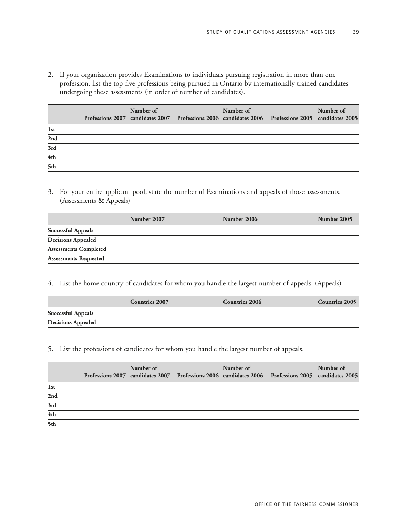2. If your organization provides Examinations to individuals pursuing registration in more than one profession, list the top five professions being pursued in Ontario by internationally trained candidates undergoing these assessments (in order of number of candidates).

|                  | Number of | Number of | Professions 2007 candidates 2007 Professions 2006 candidates 2006 Professions 2005 candidates 2005 | Number of |
|------------------|-----------|-----------|----------------------------------------------------------------------------------------------------|-----------|
| 1 <sub>st</sub>  |           |           |                                                                                                    |           |
| 2nd              |           |           |                                                                                                    |           |
| 3rd              |           |           |                                                                                                    |           |
| 4th              |           |           |                                                                                                    |           |
| $\overline{5th}$ |           |           |                                                                                                    |           |

3. For your entire applicant pool, state the number of Examinations and appeals of those assessments. (Assessments & Appeals)

|                              | Number 2007 | Number 2006 | Number 2005 |
|------------------------------|-------------|-------------|-------------|
| <b>Successful Appeals</b>    |             |             |             |
| <b>Decisions Appealed</b>    |             |             |             |
| <b>Assessments Completed</b> |             |             |             |
| <b>Assessments Requested</b> |             |             |             |

### 4. List the home country of candidates for whom you handle the largest number of appeals. (Appeals)

|                           | <b>Countries 2007</b> | <b>Countries 2006</b> | <b>Countries 2005</b> |
|---------------------------|-----------------------|-----------------------|-----------------------|
| <b>Successful Appeals</b> |                       |                       |                       |
| <b>Decisions Appealed</b> |                       |                       |                       |

### 5. List the professions of candidates for whom you handle the largest number of appeals.

|              | Number of | Number of | Professions 2007 candidates 2007 Professions 2006 candidates 2006 Professions 2005 candidates 2005 | Number of |
|--------------|-----------|-----------|----------------------------------------------------------------------------------------------------|-----------|
| 1st          |           |           |                                                                                                    |           |
| 2nd          |           |           |                                                                                                    |           |
| 3rd          |           |           |                                                                                                    |           |
| $4\mbox{th}$ |           |           |                                                                                                    |           |
| 5th          |           |           |                                                                                                    |           |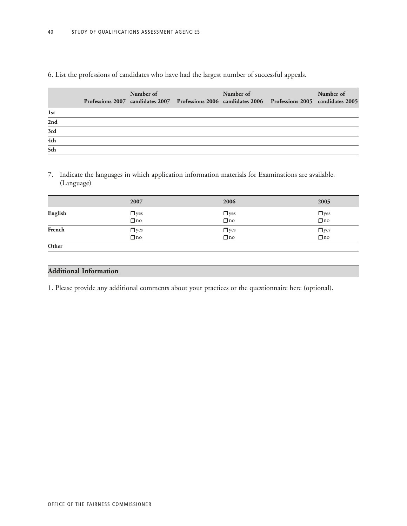# 6. List the professions of candidates who have had the largest number of successful appeals.

|                  | Number of | Number of | Professions 2007 candidates 2007 Professions 2006 candidates 2006 Professions 2005 candidates 2005 | Number of |
|------------------|-----------|-----------|----------------------------------------------------------------------------------------------------|-----------|
| 1 <sub>st</sub>  |           |           |                                                                                                    |           |
| 2nd              |           |           |                                                                                                    |           |
| $3\mathrm{rd}$   |           |           |                                                                                                    |           |
| 4th              |           |           |                                                                                                    |           |
| $\frac{1}{5}$ th |           |           |                                                                                                    |           |

7. Indicate the languages in which application information materials for Examinations are available. (Language)

|         | 2007                               | 2006                                     | 2005                    |
|---------|------------------------------------|------------------------------------------|-------------------------|
| English | $\Box$ yes<br>$\overline{\Box}$ no | $\Box$ yes                               | $\Box$ yes<br>$\Box$ no |
| French  | $\Box$ yes<br>$\Box$ no            | $\Box$ yes<br>$\overline{\mathbf{u}}$ no | $\Box$ yes              |
| Other   |                                    |                                          |                         |

# **Additional Information**

1. Please provide any additional comments about your practices or the questionnaire here (optional).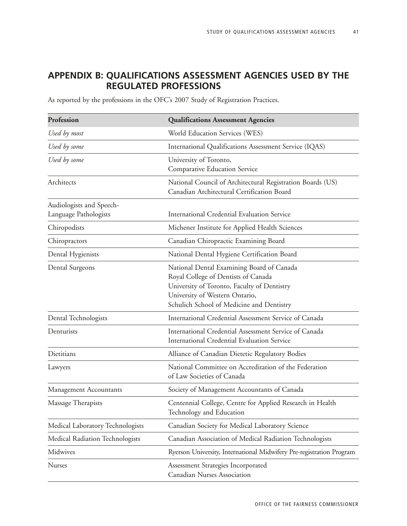# **APPENDIX B: QUALIFICATIONS ASSESSMENT AGENCIES USED BY THE REGULATED PROFESSIONS**

As reported by the professions in the OFC's 2007 Study of Registration Practices.

| Profession                                        | <b>Qualifications Assessment Agencies</b>                                                                                                                                                                      |
|---------------------------------------------------|----------------------------------------------------------------------------------------------------------------------------------------------------------------------------------------------------------------|
| Used by most                                      | World Education Services (WES)                                                                                                                                                                                 |
| Used by some                                      | International Qualifications Assessment Service (IQAS)                                                                                                                                                         |
| Used by some                                      | University of Toronto,<br>Comparative Education Service                                                                                                                                                        |
| Architects                                        | National Council of Architectural Registration Boards (US)<br>Canadian Architectural Certification Board                                                                                                       |
| Audiologists and Speech-<br>Language Pathologists | International Credential Evaluation Service                                                                                                                                                                    |
| Chiropodists                                      | Michener Institute for Applied Health Sciences                                                                                                                                                                 |
| Chiropractors                                     | Canadian Chiropractic Examining Board                                                                                                                                                                          |
| Dental Hygienists                                 | National Dental Hygiene Certification Board                                                                                                                                                                    |
| Dental Surgeons                                   | National Dental Examining Board of Canada<br>Royal College of Dentists of Canada<br>University of Toronto, Faculty of Dentistry<br>University of Western Ontario,<br>Schulich School of Medicine and Dentistry |
| Dental Technologists                              | International Credential Assessment Service of Canada                                                                                                                                                          |
| Denturists                                        | International Credential Assessment Service of Canada<br><b>International Credential Evaluation Service</b>                                                                                                    |
| Dietitians                                        | Alliance of Canadian Dietetic Regulatory Bodies                                                                                                                                                                |
| Lawyers                                           | National Committee on Accreditation of the Federation<br>of Law Societies of Canada                                                                                                                            |
| Management Accountants                            | Society of Management Accountants of Canada                                                                                                                                                                    |
| Massage Therapists                                | Centennial College, Centre for Applied Research in Health<br>Technology and Education                                                                                                                          |
| Medical Laboratory Technologists                  | Canadian Society for Medical Laboratory Science                                                                                                                                                                |
| Medical Radiation Technologists                   | Canadian Association of Medical Radiation Technologists                                                                                                                                                        |
| Midwives                                          | Ryerson University, International Midwifery Pre-registration Program                                                                                                                                           |
| <b>Nurses</b>                                     | Assessment Strategies Incorporated<br>Canadian Nurses Association                                                                                                                                              |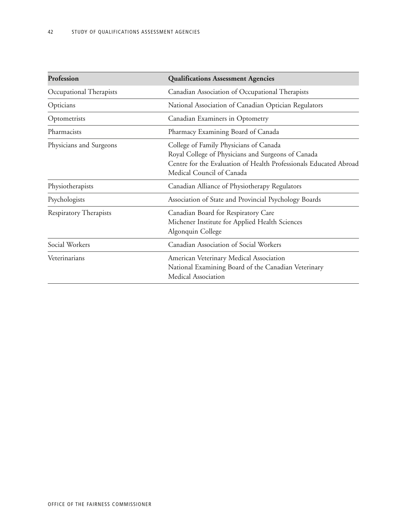| Profession              | <b>Qualifications Assessment Agencies</b>                                                                                                                                                      |
|-------------------------|------------------------------------------------------------------------------------------------------------------------------------------------------------------------------------------------|
| Occupational Therapists | Canadian Association of Occupational Therapists                                                                                                                                                |
| Opticians               | National Association of Canadian Optician Regulators                                                                                                                                           |
| Optometrists            | Canadian Examiners in Optometry                                                                                                                                                                |
| Pharmacists             | Pharmacy Examining Board of Canada                                                                                                                                                             |
| Physicians and Surgeons | College of Family Physicians of Canada<br>Royal College of Physicians and Surgeons of Canada<br>Centre for the Evaluation of Health Professionals Educated Abroad<br>Medical Council of Canada |
| Physiotherapists        | Canadian Alliance of Physiotherapy Regulators                                                                                                                                                  |
| Psychologists           | Association of State and Provincial Psychology Boards                                                                                                                                          |
| Respiratory Therapists  | Canadian Board for Respiratory Care<br>Michener Institute for Applied Health Sciences<br>Algonquin College                                                                                     |
| Social Workers          | Canadian Association of Social Workers                                                                                                                                                         |
| Veterinarians           | American Veterinary Medical Association<br>National Examining Board of the Canadian Veterinary<br>Medical Association                                                                          |